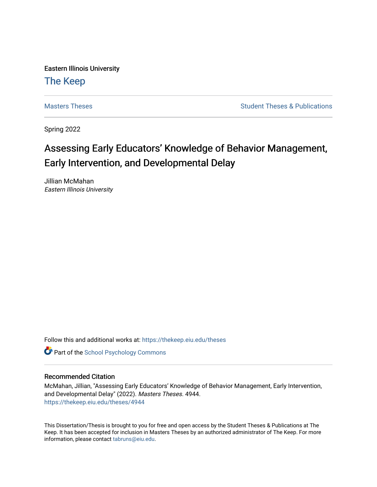Eastern Illinois University

## [The Keep](https://thekeep.eiu.edu/)

[Masters Theses](https://thekeep.eiu.edu/theses) **Student Theses & Publications** Student Theses & Publications

Spring 2022

# Assessing Early Educators' Knowledge of Behavior Management, Early Intervention, and Developmental Delay

Jillian McMahan Eastern Illinois University

Follow this and additional works at: [https://thekeep.eiu.edu/theses](https://thekeep.eiu.edu/theses?utm_source=thekeep.eiu.edu%2Ftheses%2F4944&utm_medium=PDF&utm_campaign=PDFCoverPages)

**Part of the School Psychology Commons** 

#### Recommended Citation

McMahan, Jillian, "Assessing Early Educators' Knowledge of Behavior Management, Early Intervention, and Developmental Delay" (2022). Masters Theses. 4944. [https://thekeep.eiu.edu/theses/4944](https://thekeep.eiu.edu/theses/4944?utm_source=thekeep.eiu.edu%2Ftheses%2F4944&utm_medium=PDF&utm_campaign=PDFCoverPages) 

This Dissertation/Thesis is brought to you for free and open access by the Student Theses & Publications at The Keep. It has been accepted for inclusion in Masters Theses by an authorized administrator of The Keep. For more information, please contact [tabruns@eiu.edu](mailto:tabruns@eiu.edu).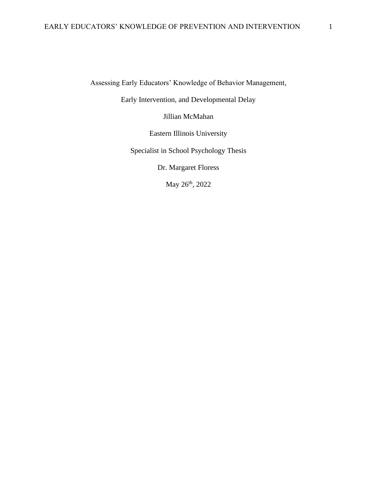Assessing Early Educators' Knowledge of Behavior Management,

Early Intervention, and Developmental Delay

Jillian McMahan

Eastern Illinois University

Specialist in School Psychology Thesis

Dr. Margaret Floress

May 26<sup>th</sup>, 2022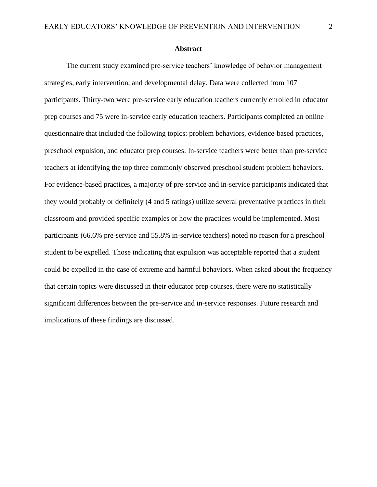#### **Abstract**

The current study examined pre-service teachers' knowledge of behavior management strategies, early intervention, and developmental delay. Data were collected from 107 participants. Thirty-two were pre-service early education teachers currently enrolled in educator prep courses and 75 were in-service early education teachers. Participants completed an online questionnaire that included the following topics: problem behaviors, evidence-based practices, preschool expulsion, and educator prep courses. In-service teachers were better than pre-service teachers at identifying the top three commonly observed preschool student problem behaviors. For evidence-based practices, a majority of pre-service and in-service participants indicated that they would probably or definitely (4 and 5 ratings) utilize several preventative practices in their classroom and provided specific examples or how the practices would be implemented. Most participants (66.6% pre-service and 55.8% in-service teachers) noted no reason for a preschool student to be expelled. Those indicating that expulsion was acceptable reported that a student could be expelled in the case of extreme and harmful behaviors. When asked about the frequency that certain topics were discussed in their educator prep courses, there were no statistically significant differences between the pre-service and in-service responses. Future research and implications of these findings are discussed.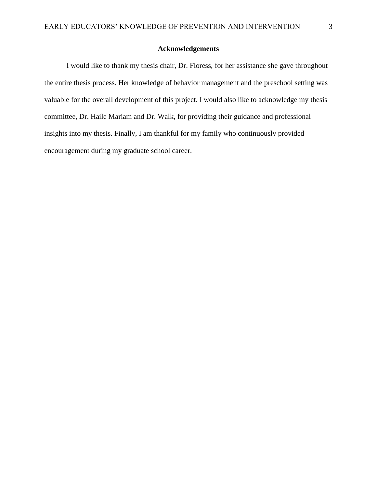#### **Acknowledgements**

I would like to thank my thesis chair, Dr. Floress, for her assistance she gave throughout the entire thesis process. Her knowledge of behavior management and the preschool setting was valuable for the overall development of this project. I would also like to acknowledge my thesis committee, Dr. Haile Mariam and Dr. Walk, for providing their guidance and professional insights into my thesis. Finally, I am thankful for my family who continuously provided encouragement during my graduate school career.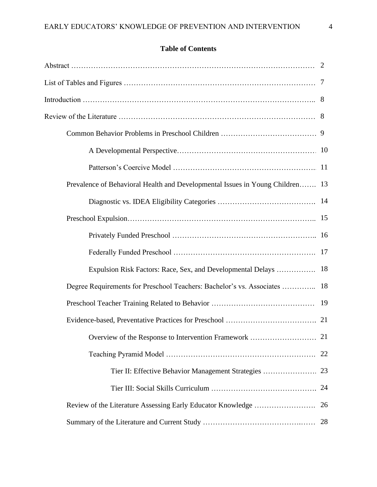### **Table of Contents**

| Prevalence of Behavioral Health and Developmental Issues in Young Children 13 |    |
|-------------------------------------------------------------------------------|----|
|                                                                               |    |
|                                                                               |    |
|                                                                               |    |
|                                                                               |    |
| Expulsion Risk Factors: Race, Sex, and Developmental Delays                   | 18 |
| Degree Requirements for Preschool Teachers: Bachelor's vs. Associates  18     |    |
|                                                                               | 19 |
|                                                                               |    |
| Overview of the Response to Intervention Framework                            | 21 |
|                                                                               |    |
|                                                                               |    |
|                                                                               |    |
|                                                                               | 26 |
|                                                                               |    |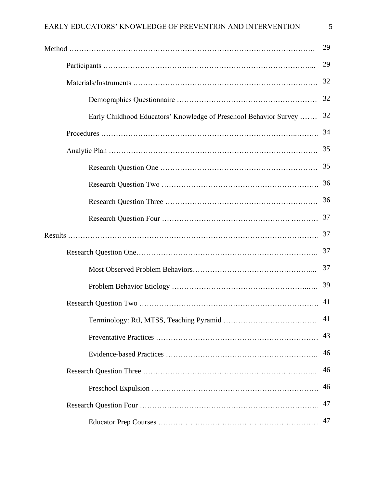|                                                                   | 29 |
|-------------------------------------------------------------------|----|
|                                                                   | 29 |
|                                                                   | 32 |
|                                                                   | 32 |
| Early Childhood Educators' Knowledge of Preschool Behavior Survey | 32 |
|                                                                   | 34 |
|                                                                   | 35 |
|                                                                   | 35 |
|                                                                   | 36 |
|                                                                   | 36 |
|                                                                   | 37 |
|                                                                   | 37 |
|                                                                   | 37 |
|                                                                   | 37 |
|                                                                   | 39 |
|                                                                   | 41 |
|                                                                   |    |
|                                                                   | 43 |
|                                                                   | 46 |
|                                                                   | 46 |
|                                                                   | 46 |
|                                                                   | 47 |
|                                                                   | 47 |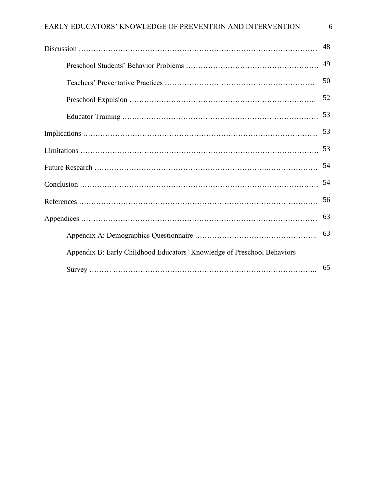|                                                                         | 48 |
|-------------------------------------------------------------------------|----|
|                                                                         | 49 |
|                                                                         | 50 |
|                                                                         | 52 |
|                                                                         | 53 |
|                                                                         | 53 |
|                                                                         | 53 |
|                                                                         | 54 |
|                                                                         | 54 |
|                                                                         | 56 |
|                                                                         | 63 |
|                                                                         | 63 |
| Appendix B: Early Childhood Educators' Knowledge of Preschool Behaviors |    |
|                                                                         | 65 |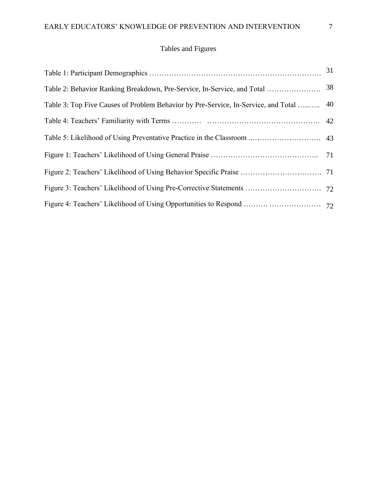## Tables and Figures

| Table 3: Top Five Causes of Problem Behavior by Pre-Service, In-Service, and Total  40 |  |
|----------------------------------------------------------------------------------------|--|
|                                                                                        |  |
|                                                                                        |  |
|                                                                                        |  |
|                                                                                        |  |
|                                                                                        |  |
|                                                                                        |  |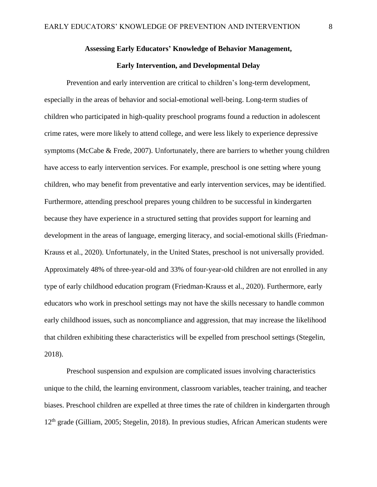#### **Assessing Early Educators' Knowledge of Behavior Management,**

#### **Early Intervention, and Developmental Delay**

Prevention and early intervention are critical to children's long-term development, especially in the areas of behavior and social-emotional well-being. Long-term studies of children who participated in high-quality preschool programs found a reduction in adolescent crime rates, were more likely to attend college, and were less likely to experience depressive symptoms (McCabe & Frede, 2007). Unfortunately, there are barriers to whether young children have access to early intervention services. For example, preschool is one setting where young children, who may benefit from preventative and early intervention services, may be identified. Furthermore, attending preschool prepares young children to be successful in kindergarten because they have experience in a structured setting that provides support for learning and development in the areas of language, emerging literacy, and social-emotional skills (Friedman-Krauss et al., 2020). Unfortunately, in the United States, preschool is not universally provided. Approximately 48% of three-year-old and 33% of four-year-old children are not enrolled in any type of early childhood education program (Friedman-Krauss et al., 2020). Furthermore, early educators who work in preschool settings may not have the skills necessary to handle common early childhood issues, such as noncompliance and aggression, that may increase the likelihood that children exhibiting these characteristics will be expelled from preschool settings (Stegelin, 2018).

Preschool suspension and expulsion are complicated issues involving characteristics unique to the child, the learning environment, classroom variables, teacher training, and teacher biases. Preschool children are expelled at three times the rate of children in kindergarten through 12<sup>th</sup> grade (Gilliam, 2005; Stegelin, 2018). In previous studies, African American students were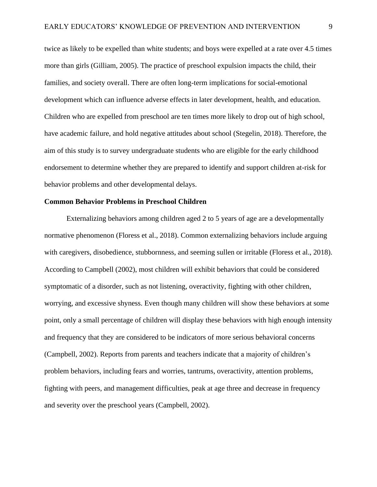twice as likely to be expelled than white students; and boys were expelled at a rate over 4.5 times more than girls (Gilliam, 2005). The practice of preschool expulsion impacts the child, their families, and society overall. There are often long-term implications for social-emotional development which can influence adverse effects in later development, health, and education. Children who are expelled from preschool are ten times more likely to drop out of high school, have academic failure, and hold negative attitudes about school (Stegelin, 2018). Therefore, the aim of this study is to survey undergraduate students who are eligible for the early childhood endorsement to determine whether they are prepared to identify and support children at-risk for behavior problems and other developmental delays.

#### **Common Behavior Problems in Preschool Children**

Externalizing behaviors among children aged 2 to 5 years of age are a developmentally normative phenomenon (Floress et al., 2018). Common externalizing behaviors include arguing with caregivers, disobedience, stubbornness, and seeming sullen or irritable (Floress et al., 2018). According to Campbell (2002), most children will exhibit behaviors that could be considered symptomatic of a disorder, such as not listening, overactivity, fighting with other children, worrying, and excessive shyness. Even though many children will show these behaviors at some point, only a small percentage of children will display these behaviors with high enough intensity and frequency that they are considered to be indicators of more serious behavioral concerns (Campbell, 2002). Reports from parents and teachers indicate that a majority of children's problem behaviors, including fears and worries, tantrums, overactivity, attention problems, fighting with peers, and management difficulties, peak at age three and decrease in frequency and severity over the preschool years (Campbell, 2002).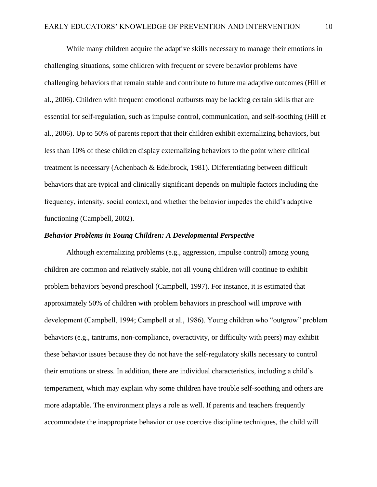While many children acquire the adaptive skills necessary to manage their emotions in challenging situations, some children with frequent or severe behavior problems have challenging behaviors that remain stable and contribute to future maladaptive outcomes (Hill et al., 2006). Children with frequent emotional outbursts may be lacking certain skills that are essential for self-regulation, such as impulse control, communication, and self-soothing (Hill et al., 2006). Up to 50% of parents report that their children exhibit externalizing behaviors, but less than 10% of these children display externalizing behaviors to the point where clinical treatment is necessary (Achenbach & Edelbrock, 1981). Differentiating between difficult behaviors that are typical and clinically significant depends on multiple factors including the frequency, intensity, social context, and whether the behavior impedes the child's adaptive functioning (Campbell, 2002).

#### *Behavior Problems in Young Children: A Developmental Perspective*

Although externalizing problems (e.g., aggression, impulse control) among young children are common and relatively stable, not all young children will continue to exhibit problem behaviors beyond preschool (Campbell, 1997). For instance, it is estimated that approximately 50% of children with problem behaviors in preschool will improve with development (Campbell, 1994; Campbell et al., 1986). Young children who "outgrow" problem behaviors (e.g., tantrums, non-compliance, overactivity, or difficulty with peers) may exhibit these behavior issues because they do not have the self-regulatory skills necessary to control their emotions or stress. In addition, there are individual characteristics, including a child's temperament, which may explain why some children have trouble self-soothing and others are more adaptable. The environment plays a role as well. If parents and teachers frequently accommodate the inappropriate behavior or use coercive discipline techniques, the child will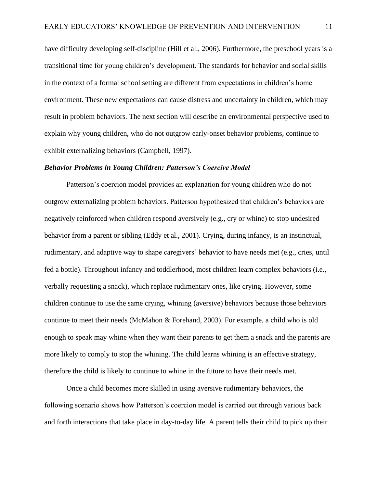have difficulty developing self-discipline (Hill et al., 2006). Furthermore, the preschool years is a transitional time for young children's development. The standards for behavior and social skills in the context of a formal school setting are different from expectations in children's home environment. These new expectations can cause distress and uncertainty in children, which may result in problem behaviors. The next section will describe an environmental perspective used to explain why young children, who do not outgrow early-onset behavior problems, continue to exhibit externalizing behaviors (Campbell, 1997).

#### *Behavior Problems in Young Children: Patterson's Coercive Model*

Patterson's coercion model provides an explanation for young children who do not outgrow externalizing problem behaviors. Patterson hypothesized that children's behaviors are negatively reinforced when children respond aversively (e.g., cry or whine) to stop undesired behavior from a parent or sibling (Eddy et al., 2001). Crying, during infancy, is an instinctual, rudimentary, and adaptive way to shape caregivers' behavior to have needs met (e.g., cries, until fed a bottle). Throughout infancy and toddlerhood, most children learn complex behaviors (i.e., verbally requesting a snack), which replace rudimentary ones, like crying. However, some children continue to use the same crying, whining (aversive) behaviors because those behaviors continue to meet their needs (McMahon & Forehand, 2003). For example, a child who is old enough to speak may whine when they want their parents to get them a snack and the parents are more likely to comply to stop the whining. The child learns whining is an effective strategy, therefore the child is likely to continue to whine in the future to have their needs met.

Once a child becomes more skilled in using aversive rudimentary behaviors, the following scenario shows how Patterson's coercion model is carried out through various back and forth interactions that take place in day-to-day life. A parent tells their child to pick up their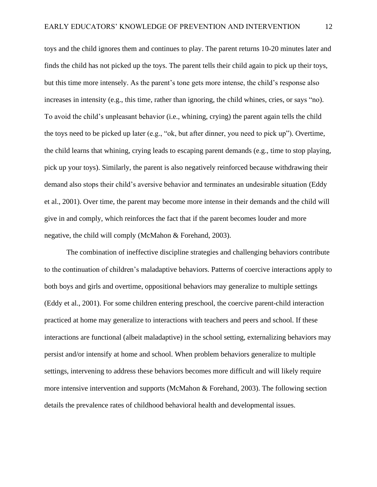toys and the child ignores them and continues to play. The parent returns 10-20 minutes later and finds the child has not picked up the toys. The parent tells their child again to pick up their toys, but this time more intensely. As the parent's tone gets more intense, the child's response also increases in intensity (e.g., this time, rather than ignoring, the child whines, cries, or says "no). To avoid the child's unpleasant behavior (i.e., whining, crying) the parent again tells the child the toys need to be picked up later (e.g., "ok, but after dinner, you need to pick up"). Overtime, the child learns that whining, crying leads to escaping parent demands (e.g., time to stop playing, pick up your toys). Similarly, the parent is also negatively reinforced because withdrawing their demand also stops their child's aversive behavior and terminates an undesirable situation (Eddy et al., 2001). Over time, the parent may become more intense in their demands and the child will give in and comply, which reinforces the fact that if the parent becomes louder and more negative, the child will comply (McMahon & Forehand, 2003).

The combination of ineffective discipline strategies and challenging behaviors contribute to the continuation of children's maladaptive behaviors. Patterns of coercive interactions apply to both boys and girls and overtime, oppositional behaviors may generalize to multiple settings (Eddy et al., 2001). For some children entering preschool, the coercive parent-child interaction practiced at home may generalize to interactions with teachers and peers and school. If these interactions are functional (albeit maladaptive) in the school setting, externalizing behaviors may persist and/or intensify at home and school. When problem behaviors generalize to multiple settings, intervening to address these behaviors becomes more difficult and will likely require more intensive intervention and supports (McMahon & Forehand, 2003). The following section details the prevalence rates of childhood behavioral health and developmental issues.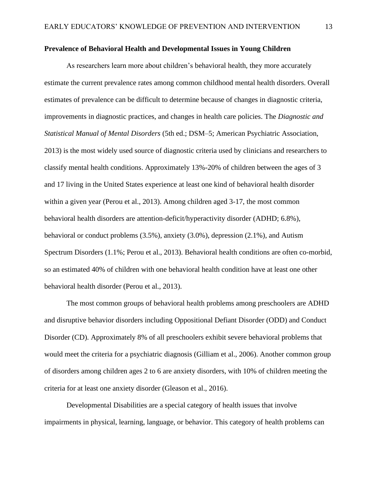#### **Prevalence of Behavioral Health and Developmental Issues in Young Children**

As researchers learn more about children's behavioral health, they more accurately estimate the current prevalence rates among common childhood mental health disorders. Overall estimates of prevalence can be difficult to determine because of changes in diagnostic criteria, improvements in diagnostic practices, and changes in health care policies. The *Diagnostic and Statistical Manual of Mental Disorders* (5th ed.; DSM–5; American Psychiatric Association, 2013) is the most widely used source of diagnostic criteria used by clinicians and researchers to classify mental health conditions. Approximately 13%-20% of children between the ages of 3 and 17 living in the United States experience at least one kind of behavioral health disorder within a given year (Perou et al., 2013). Among children aged 3-17, the most common behavioral health disorders are attention-deficit/hyperactivity disorder (ADHD; 6.8%), behavioral or conduct problems (3.5%), anxiety (3.0%), depression (2.1%), and Autism Spectrum Disorders (1.1%; Perou et al., 2013). Behavioral health conditions are often co-morbid, so an estimated 40% of children with one behavioral health condition have at least one other behavioral health disorder (Perou et al., 2013).

The most common groups of behavioral health problems among preschoolers are ADHD and disruptive behavior disorders including Oppositional Defiant Disorder (ODD) and Conduct Disorder (CD). Approximately 8% of all preschoolers exhibit severe behavioral problems that would meet the criteria for a psychiatric diagnosis (Gilliam et al., 2006). Another common group of disorders among children ages 2 to 6 are anxiety disorders, with 10% of children meeting the criteria for at least one anxiety disorder (Gleason et al., 2016).

Developmental Disabilities are a special category of health issues that involve impairments in physical, learning, language, or behavior. This category of health problems can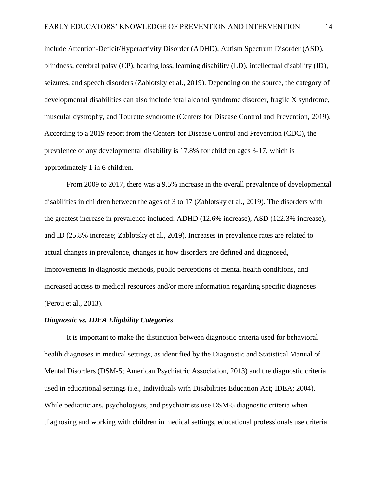include Attention-Deficit/Hyperactivity Disorder (ADHD), Autism Spectrum Disorder (ASD), blindness, cerebral palsy (CP), hearing loss, learning disability (LD), intellectual disability (ID), seizures, and speech disorders (Zablotsky et al., 2019). Depending on the source, the category of developmental disabilities can also include fetal alcohol syndrome disorder, fragile X syndrome, muscular dystrophy, and Tourette syndrome (Centers for Disease Control and Prevention, 2019). According to a 2019 report from the Centers for Disease Control and Prevention (CDC), the prevalence of any developmental disability is 17.8% for children ages 3-17, which is approximately 1 in 6 children.

From 2009 to 2017, there was a 9.5% increase in the overall prevalence of developmental disabilities in children between the ages of 3 to 17 (Zablotsky et al., 2019). The disorders with the greatest increase in prevalence included: ADHD (12.6% increase), ASD (122.3% increase), and ID (25.8% increase; Zablotsky et al., 2019). Increases in prevalence rates are related to actual changes in prevalence, changes in how disorders are defined and diagnosed, improvements in diagnostic methods, public perceptions of mental health conditions, and increased access to medical resources and/or more information regarding specific diagnoses (Perou et al., 2013).

#### *Diagnostic vs. IDEA Eligibility Categories*

It is important to make the distinction between diagnostic criteria used for behavioral health diagnoses in medical settings, as identified by the Diagnostic and Statistical Manual of Mental Disorders (DSM-5; American Psychiatric Association, 2013) and the diagnostic criteria used in educational settings (i.e., Individuals with Disabilities Education Act; IDEA; 2004). While pediatricians, psychologists, and psychiatrists use DSM-5 diagnostic criteria when diagnosing and working with children in medical settings, educational professionals use criteria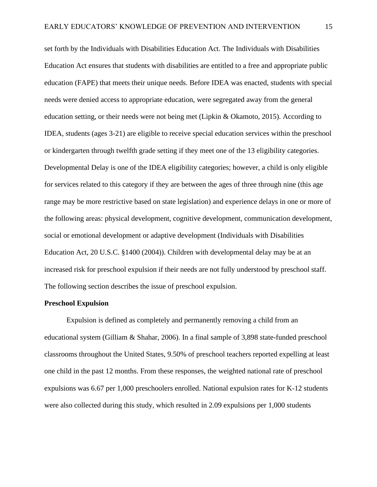set forth by the Individuals with Disabilities Education Act. The Individuals with Disabilities Education Act ensures that students with disabilities are entitled to a free and appropriate public education (FAPE) that meets their unique needs. Before IDEA was enacted, students with special needs were denied access to appropriate education, were segregated away from the general education setting, or their needs were not being met (Lipkin & Okamoto, 2015). According to IDEA, students (ages 3-21) are eligible to receive special education services within the preschool or kindergarten through twelfth grade setting if they meet one of the 13 eligibility categories. Developmental Delay is one of the IDEA eligibility categories; however, a child is only eligible for services related to this category if they are between the ages of three through nine (this age range may be more restrictive based on state legislation) and experience delays in one or more of the following areas: physical development, cognitive development, communication development, social or emotional development or adaptive development (Individuals with Disabilities Education Act, 20 U.S.C. §1400 (2004)). Children with developmental delay may be at an increased risk for preschool expulsion if their needs are not fully understood by preschool staff. The following section describes the issue of preschool expulsion.

#### **Preschool Expulsion**

Expulsion is defined as completely and permanently removing a child from an educational system (Gilliam & Shahar, 2006). In a final sample of 3,898 state-funded preschool classrooms throughout the United States, 9.50% of preschool teachers reported expelling at least one child in the past 12 months. From these responses, the weighted national rate of preschool expulsions was 6.67 per 1,000 preschoolers enrolled. National expulsion rates for K-12 students were also collected during this study, which resulted in 2.09 expulsions per 1,000 students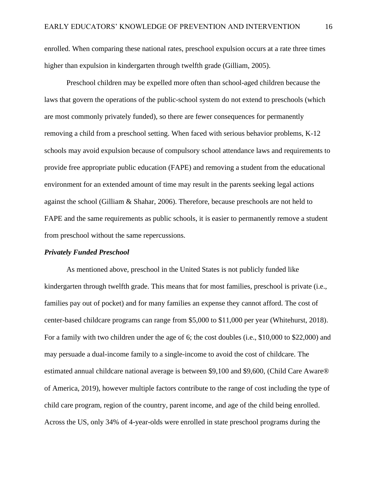enrolled. When comparing these national rates, preschool expulsion occurs at a rate three times higher than expulsion in kindergarten through twelfth grade (Gilliam, 2005).

Preschool children may be expelled more often than school-aged children because the laws that govern the operations of the public-school system do not extend to preschools (which are most commonly privately funded), so there are fewer consequences for permanently removing a child from a preschool setting. When faced with serious behavior problems, K-12 schools may avoid expulsion because of compulsory school attendance laws and requirements to provide free appropriate public education (FAPE) and removing a student from the educational environment for an extended amount of time may result in the parents seeking legal actions against the school (Gilliam & Shahar, 2006). Therefore, because preschools are not held to FAPE and the same requirements as public schools, it is easier to permanently remove a student from preschool without the same repercussions.

#### *Privately Funded Preschool*

As mentioned above, preschool in the United States is not publicly funded like kindergarten through twelfth grade. This means that for most families, preschool is private (i.e., families pay out of pocket) and for many families an expense they cannot afford. The cost of center-based childcare programs can range from \$5,000 to \$11,000 per year (Whitehurst, 2018). For a family with two children under the age of 6; the cost doubles (i.e., \$10,000 to \$22,000) and may persuade a dual-income family to a single-income to avoid the cost of childcare. The estimated annual childcare national average is between \$9,100 and \$9,600, (Child Care Aware® of America, 2019), however multiple factors contribute to the range of cost including the type of child care program, region of the country, parent income, and age of the child being enrolled. Across the US, only 34% of 4-year-olds were enrolled in state preschool programs during the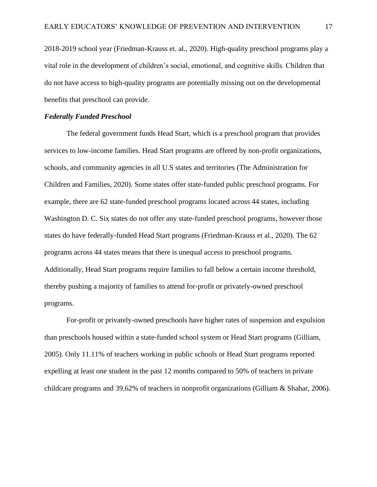2018-2019 school year (Friedman-Krauss et. al., 2020). High-quality preschool programs play a vital role in the development of children's social, emotional, and cognitive skills. Children that do not have access to high-quality programs are potentially missing out on the developmental benefits that preschool can provide.

#### *Federally Funded Preschool*

The federal government funds Head Start, which is a preschool program that provides services to low-income families. Head Start programs are offered by non-profit organizations, schools, and community agencies in all U.S states and territories (The Administration for Children and Families, 2020). Some states offer state-funded public preschool programs. For example, there are 62 state-funded preschool programs located across 44 states, including Washington D. C. Six states do not offer any state-funded preschool programs, however those states do have federally-funded Head Start programs (Friedman-Krauss et al., 2020). The 62 programs across 44 states means that there is unequal access to preschool programs. Additionally, Head Start programs require families to fall below a certain income threshold, thereby pushing a majority of families to attend for-profit or privately-owned preschool programs.

For-profit or privately-owned preschools have higher rates of suspension and expulsion than preschools housed within a state-funded school system or Head Start programs (Gilliam, 2005). Only 11.11% of teachers working in public schools or Head Start programs reported expelling at least one student in the past 12 months compared to 50% of teachers in private childcare programs and 39.62% of teachers in nonprofit organizations (Gilliam & Shahar, 2006).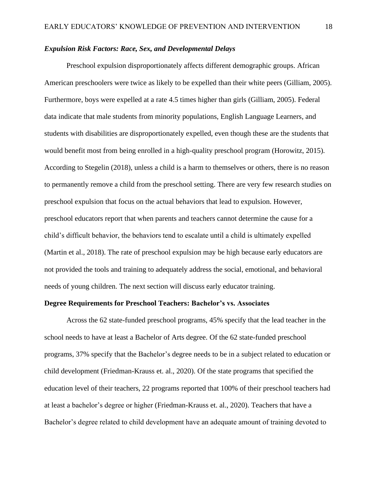#### *Expulsion Risk Factors: Race, Sex, and Developmental Delays*

Preschool expulsion disproportionately affects different demographic groups. African American preschoolers were twice as likely to be expelled than their white peers (Gilliam, 2005). Furthermore, boys were expelled at a rate 4.5 times higher than girls (Gilliam, 2005). Federal data indicate that male students from minority populations, English Language Learners, and students with disabilities are disproportionately expelled, even though these are the students that would benefit most from being enrolled in a high-quality preschool program (Horowitz, 2015). According to Stegelin (2018), unless a child is a harm to themselves or others, there is no reason to permanently remove a child from the preschool setting. There are very few research studies on preschool expulsion that focus on the actual behaviors that lead to expulsion. However, preschool educators report that when parents and teachers cannot determine the cause for a child's difficult behavior, the behaviors tend to escalate until a child is ultimately expelled (Martin et al., 2018). The rate of preschool expulsion may be high because early educators are not provided the tools and training to adequately address the social, emotional, and behavioral needs of young children. The next section will discuss early educator training.

#### **Degree Requirements for Preschool Teachers: Bachelor's vs. Associates**

Across the 62 state-funded preschool programs, 45% specify that the lead teacher in the school needs to have at least a Bachelor of Arts degree. Of the 62 state-funded preschool programs, 37% specify that the Bachelor's degree needs to be in a subject related to education or child development (Friedman-Krauss et. al., 2020). Of the state programs that specified the education level of their teachers, 22 programs reported that 100% of their preschool teachers had at least a bachelor's degree or higher (Friedman-Krauss et. al., 2020). Teachers that have a Bachelor's degree related to child development have an adequate amount of training devoted to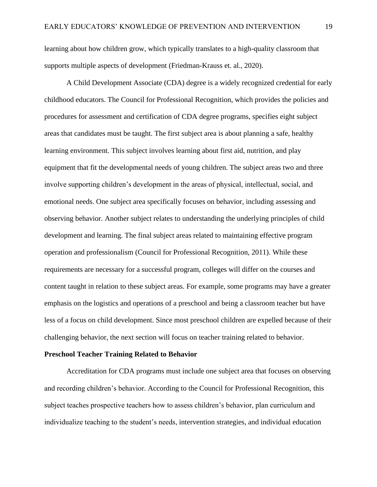learning about how children grow, which typically translates to a high-quality classroom that supports multiple aspects of development (Friedman-Krauss et. al., 2020).

A Child Development Associate (CDA) degree is a widely recognized credential for early childhood educators. The Council for Professional Recognition, which provides the policies and procedures for assessment and certification of CDA degree programs, specifies eight subject areas that candidates must be taught. The first subject area is about planning a safe, healthy learning environment. This subject involves learning about first aid, nutrition, and play equipment that fit the developmental needs of young children. The subject areas two and three involve supporting children's development in the areas of physical, intellectual, social, and emotional needs. One subject area specifically focuses on behavior, including assessing and observing behavior. Another subject relates to understanding the underlying principles of child development and learning. The final subject areas related to maintaining effective program operation and professionalism (Council for Professional Recognition, 2011). While these requirements are necessary for a successful program, colleges will differ on the courses and content taught in relation to these subject areas. For example, some programs may have a greater emphasis on the logistics and operations of a preschool and being a classroom teacher but have less of a focus on child development. Since most preschool children are expelled because of their challenging behavior, the next section will focus on teacher training related to behavior.

#### **Preschool Teacher Training Related to Behavior**

Accreditation for CDA programs must include one subject area that focuses on observing and recording children's behavior. According to the Council for Professional Recognition, this subject teaches prospective teachers how to assess children's behavior, plan curriculum and individualize teaching to the student's needs, intervention strategies, and individual education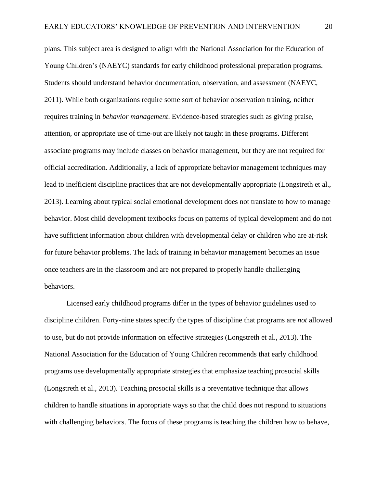plans. This subject area is designed to align with the National Association for the Education of Young Children's (NAEYC) standards for early childhood professional preparation programs. Students should understand behavior documentation, observation, and assessment (NAEYC, 2011). While both organizations require some sort of behavior observation training, neither requires training in *behavior management*. Evidence-based strategies such as giving praise, attention, or appropriate use of time-out are likely not taught in these programs. Different associate programs may include classes on behavior management, but they are not required for official accreditation. Additionally, a lack of appropriate behavior management techniques may lead to inefficient discipline practices that are not developmentally appropriate (Longstreth et al., 2013). Learning about typical social emotional development does not translate to how to manage behavior. Most child development textbooks focus on patterns of typical development and do not have sufficient information about children with developmental delay or children who are at-risk for future behavior problems. The lack of training in behavior management becomes an issue once teachers are in the classroom and are not prepared to properly handle challenging behaviors.

Licensed early childhood programs differ in the types of behavior guidelines used to discipline children. Forty-nine states specify the types of discipline that programs are *not* allowed to use, but do not provide information on effective strategies (Longstreth et al., 2013). The National Association for the Education of Young Children recommends that early childhood programs use developmentally appropriate strategies that emphasize teaching prosocial skills (Longstreth et al., 2013). Teaching prosocial skills is a preventative technique that allows children to handle situations in appropriate ways so that the child does not respond to situations with challenging behaviors. The focus of these programs is teaching the children how to behave,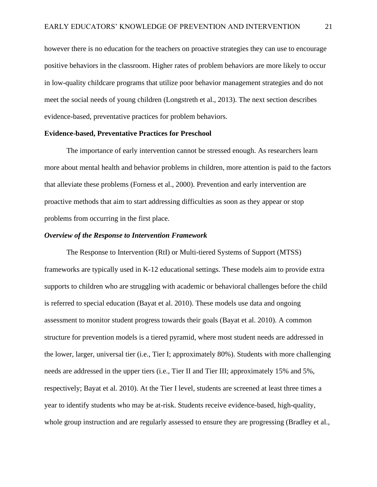however there is no education for the teachers on proactive strategies they can use to encourage positive behaviors in the classroom. Higher rates of problem behaviors are more likely to occur in low-quality childcare programs that utilize poor behavior management strategies and do not meet the social needs of young children (Longstreth et al., 2013). The next section describes evidence-based, preventative practices for problem behaviors.

#### **Evidence-based, Preventative Practices for Preschool**

The importance of early intervention cannot be stressed enough. As researchers learn more about mental health and behavior problems in children, more attention is paid to the factors that alleviate these problems (Forness et al., 2000). Prevention and early intervention are proactive methods that aim to start addressing difficulties as soon as they appear or stop problems from occurring in the first place.

#### *Overview of the Response to Intervention Framework*

The Response to Intervention (RtI) or Multi-tiered Systems of Support (MTSS) frameworks are typically used in K-12 educational settings. These models aim to provide extra supports to children who are struggling with academic or behavioral challenges before the child is referred to special education (Bayat et al. 2010). These models use data and ongoing assessment to monitor student progress towards their goals (Bayat et al. 2010). A common structure for prevention models is a tiered pyramid, where most student needs are addressed in the lower, larger, universal tier (i.e., Tier I; approximately 80%). Students with more challenging needs are addressed in the upper tiers (i.e., Tier II and Tier III; approximately 15% and 5%, respectively; Bayat et al. 2010). At the Tier I level, students are screened at least three times a year to identify students who may be at-risk. Students receive evidence-based, high-quality, whole group instruction and are regularly assessed to ensure they are progressing (Bradley et al.,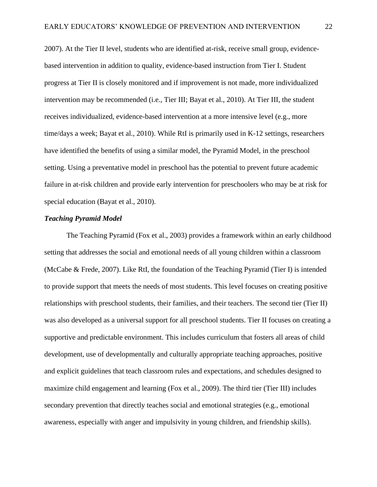2007). At the Tier II level, students who are identified at-risk, receive small group, evidencebased intervention in addition to quality, evidence-based instruction from Tier I. Student progress at Tier II is closely monitored and if improvement is not made, more individualized intervention may be recommended (i.e., Tier III; Bayat et al., 2010). At Tier III, the student receives individualized, evidence-based intervention at a more intensive level (e.g., more time/days a week; Bayat et al., 2010). While RtI is primarily used in K-12 settings, researchers have identified the benefits of using a similar model, the Pyramid Model, in the preschool setting. Using a preventative model in preschool has the potential to prevent future academic failure in at-risk children and provide early intervention for preschoolers who may be at risk for special education (Bayat et al., 2010).

#### *Teaching Pyramid Model*

The Teaching Pyramid (Fox et al., 2003) provides a framework within an early childhood setting that addresses the social and emotional needs of all young children within a classroom (McCabe & Frede, 2007). Like RtI, the foundation of the Teaching Pyramid (Tier I) is intended to provide support that meets the needs of most students. This level focuses on creating positive relationships with preschool students, their families, and their teachers. The second tier (Tier II) was also developed as a universal support for all preschool students. Tier II focuses on creating a supportive and predictable environment. This includes curriculum that fosters all areas of child development, use of developmentally and culturally appropriate teaching approaches, positive and explicit guidelines that teach classroom rules and expectations, and schedules designed to maximize child engagement and learning (Fox et al., 2009). The third tier (Tier III) includes secondary prevention that directly teaches social and emotional strategies (e.g., emotional awareness, especially with anger and impulsivity in young children, and friendship skills).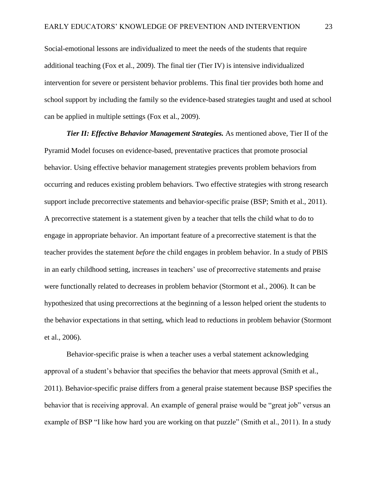Social-emotional lessons are individualized to meet the needs of the students that require additional teaching (Fox et al., 2009). The final tier (Tier IV) is intensive individualized intervention for severe or persistent behavior problems. This final tier provides both home and school support by including the family so the evidence-based strategies taught and used at school can be applied in multiple settings (Fox et al., 2009).

*Tier II: Effective Behavior Management Strategies.* As mentioned above, Tier II of the Pyramid Model focuses on evidence-based, preventative practices that promote prosocial behavior. Using effective behavior management strategies prevents problem behaviors from occurring and reduces existing problem behaviors. Two effective strategies with strong research support include precorrective statements and behavior-specific praise (BSP; Smith et al., 2011). A precorrective statement is a statement given by a teacher that tells the child what to do to engage in appropriate behavior. An important feature of a precorrective statement is that the teacher provides the statement *before* the child engages in problem behavior. In a study of PBIS in an early childhood setting, increases in teachers' use of precorrective statements and praise were functionally related to decreases in problem behavior (Stormont et al., 2006). It can be hypothesized that using precorrections at the beginning of a lesson helped orient the students to the behavior expectations in that setting, which lead to reductions in problem behavior (Stormont et al., 2006).

Behavior-specific praise is when a teacher uses a verbal statement acknowledging approval of a student's behavior that specifies the behavior that meets approval (Smith et al., 2011). Behavior-specific praise differs from a general praise statement because BSP specifies the behavior that is receiving approval. An example of general praise would be "great job" versus an example of BSP "I like how hard you are working on that puzzle" (Smith et al., 2011). In a study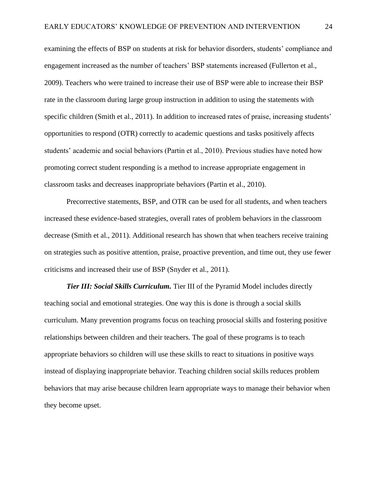examining the effects of BSP on students at risk for behavior disorders, students' compliance and engagement increased as the number of teachers' BSP statements increased (Fullerton et al., 2009). Teachers who were trained to increase their use of BSP were able to increase their BSP rate in the classroom during large group instruction in addition to using the statements with specific children (Smith et al., 2011). In addition to increased rates of praise, increasing students' opportunities to respond (OTR) correctly to academic questions and tasks positively affects students' academic and social behaviors (Partin et al., 2010). Previous studies have noted how promoting correct student responding is a method to increase appropriate engagement in classroom tasks and decreases inappropriate behaviors (Partin et al., 2010).

Precorrective statements, BSP, and OTR can be used for all students, and when teachers increased these evidence-based strategies, overall rates of problem behaviors in the classroom decrease (Smith et al., 2011). Additional research has shown that when teachers receive training on strategies such as positive attention, praise, proactive prevention, and time out, they use fewer criticisms and increased their use of BSP (Snyder et al., 2011).

*Tier III: Social Skills Curriculum.* Tier III of the Pyramid Model includes directly teaching social and emotional strategies. One way this is done is through a social skills curriculum. Many prevention programs focus on teaching prosocial skills and fostering positive relationships between children and their teachers. The goal of these programs is to teach appropriate behaviors so children will use these skills to react to situations in positive ways instead of displaying inappropriate behavior. Teaching children social skills reduces problem behaviors that may arise because children learn appropriate ways to manage their behavior when they become upset.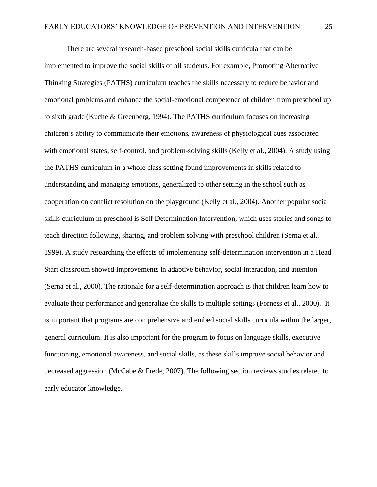There are several research-based preschool social skills curricula that can be implemented to improve the social skills of all students. For example, Promoting Alternative Thinking Strategies (PATHS) curriculum teaches the skills necessary to reduce behavior and emotional problems and enhance the social-emotional competence of children from preschool up to sixth grade (Kuche & Greenberg, 1994). The PATHS curriculum focuses on increasing children's ability to communicate their emotions, awareness of physiological cues associated with emotional states, self-control, and problem-solving skills (Kelly et al., 2004). A study using the PATHS curriculum in a whole class setting found improvements in skills related to understanding and managing emotions, generalized to other setting in the school such as cooperation on conflict resolution on the playground (Kelly et al., 2004). Another popular social skills curriculum in preschool is Self Determination Intervention, which uses stories and songs to teach direction following, sharing, and problem solving with preschool children (Serna et al., 1999). A study researching the effects of implementing self-determination intervention in a Head Start classroom showed improvements in adaptive behavior, social interaction, and attention (Serna et al., 2000). The rationale for a self-determination approach is that children learn how to evaluate their performance and generalize the skills to multiple settings (Forness et al., 2000). It is important that programs are comprehensive and embed social skills curricula within the larger, general curriculum. It is also important for the program to focus on language skills, executive functioning, emotional awareness, and social skills, as these skills improve social behavior and decreased aggression (McCabe & Frede, 2007). The following section reviews studies related to early educator knowledge.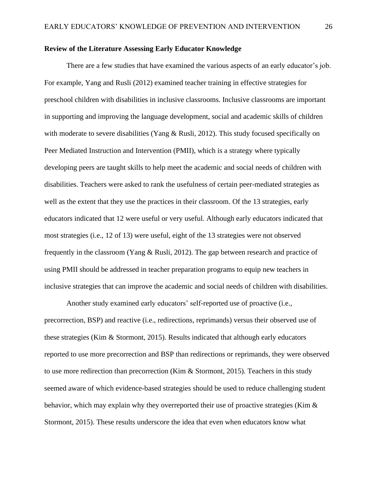#### **Review of the Literature Assessing Early Educator Knowledge**

There are a few studies that have examined the various aspects of an early educator's job. For example, Yang and Rusli (2012) examined teacher training in effective strategies for preschool children with disabilities in inclusive classrooms. Inclusive classrooms are important in supporting and improving the language development, social and academic skills of children with moderate to severe disabilities (Yang & Rusli, 2012). This study focused specifically on Peer Mediated Instruction and Intervention (PMII), which is a strategy where typically developing peers are taught skills to help meet the academic and social needs of children with disabilities. Teachers were asked to rank the usefulness of certain peer-mediated strategies as well as the extent that they use the practices in their classroom. Of the 13 strategies, early educators indicated that 12 were useful or very useful. Although early educators indicated that most strategies (i.e., 12 of 13) were useful, eight of the 13 strategies were not observed frequently in the classroom (Yang & Rusli, 2012). The gap between research and practice of using PMII should be addressed in teacher preparation programs to equip new teachers in inclusive strategies that can improve the academic and social needs of children with disabilities.

Another study examined early educators' self-reported use of proactive (i.e., precorrection, BSP) and reactive (i.e., redirections, reprimands) versus their observed use of these strategies (Kim & Stormont, 2015). Results indicated that although early educators reported to use more precorrection and BSP than redirections or reprimands, they were observed to use more redirection than precorrection (Kim & Stormont, 2015). Teachers in this study seemed aware of which evidence-based strategies should be used to reduce challenging student behavior, which may explain why they overreported their use of proactive strategies (Kim & Stormont, 2015). These results underscore the idea that even when educators know what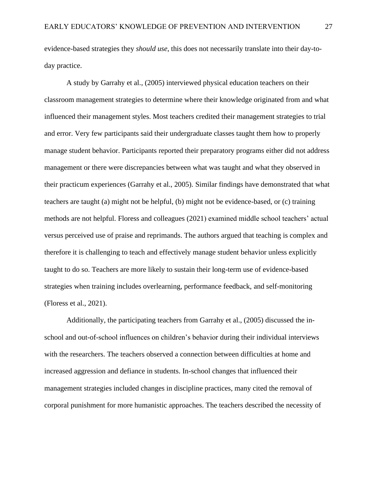evidence-based strategies they *should use*, this does not necessarily translate into their day-today practice.

A study by Garrahy et al., (2005) interviewed physical education teachers on their classroom management strategies to determine where their knowledge originated from and what influenced their management styles. Most teachers credited their management strategies to trial and error. Very few participants said their undergraduate classes taught them how to properly manage student behavior. Participants reported their preparatory programs either did not address management or there were discrepancies between what was taught and what they observed in their practicum experiences (Garrahy et al., 2005). Similar findings have demonstrated that what teachers are taught (a) might not be helpful, (b) might not be evidence-based, or (c) training methods are not helpful. Floress and colleagues (2021) examined middle school teachers' actual versus perceived use of praise and reprimands. The authors argued that teaching is complex and therefore it is challenging to teach and effectively manage student behavior unless explicitly taught to do so. Teachers are more likely to sustain their long-term use of evidence-based strategies when training includes overlearning, performance feedback, and self-monitoring (Floress et al., 2021).

Additionally, the participating teachers from Garrahy et al., (2005) discussed the inschool and out-of-school influences on children's behavior during their individual interviews with the researchers. The teachers observed a connection between difficulties at home and increased aggression and defiance in students. In-school changes that influenced their management strategies included changes in discipline practices, many cited the removal of corporal punishment for more humanistic approaches. The teachers described the necessity of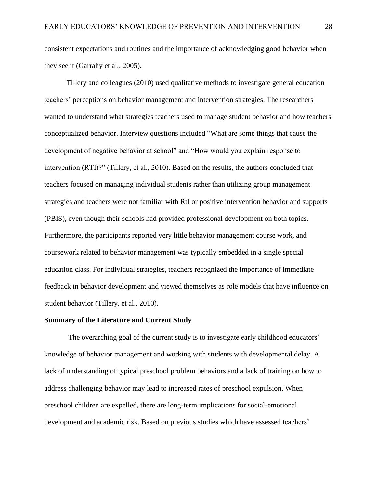consistent expectations and routines and the importance of acknowledging good behavior when they see it (Garrahy et al., 2005).

Tillery and colleagues (2010) used qualitative methods to investigate general education teachers' perceptions on behavior management and intervention strategies. The researchers wanted to understand what strategies teachers used to manage student behavior and how teachers conceptualized behavior. Interview questions included "What are some things that cause the development of negative behavior at school" and "How would you explain response to intervention (RTI)?" (Tillery, et al., 2010). Based on the results, the authors concluded that teachers focused on managing individual students rather than utilizing group management strategies and teachers were not familiar with RtI or positive intervention behavior and supports (PBIS), even though their schools had provided professional development on both topics. Furthermore, the participants reported very little behavior management course work, and coursework related to behavior management was typically embedded in a single special education class. For individual strategies, teachers recognized the importance of immediate feedback in behavior development and viewed themselves as role models that have influence on student behavior (Tillery, et al., 2010).

#### **Summary of the Literature and Current Study**

The overarching goal of the current study is to investigate early childhood educators' knowledge of behavior management and working with students with developmental delay. A lack of understanding of typical preschool problem behaviors and a lack of training on how to address challenging behavior may lead to increased rates of preschool expulsion. When preschool children are expelled, there are long-term implications for social-emotional development and academic risk. Based on previous studies which have assessed teachers'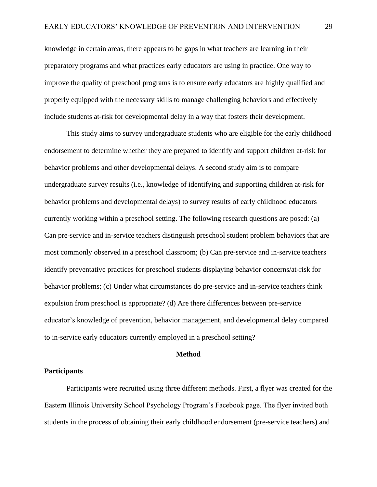knowledge in certain areas, there appears to be gaps in what teachers are learning in their preparatory programs and what practices early educators are using in practice. One way to improve the quality of preschool programs is to ensure early educators are highly qualified and properly equipped with the necessary skills to manage challenging behaviors and effectively include students at-risk for developmental delay in a way that fosters their development.

This study aims to survey undergraduate students who are eligible for the early childhood endorsement to determine whether they are prepared to identify and support children at-risk for behavior problems and other developmental delays. A second study aim is to compare undergraduate survey results (i.e., knowledge of identifying and supporting children at-risk for behavior problems and developmental delays) to survey results of early childhood educators currently working within a preschool setting. The following research questions are posed: (a) Can pre-service and in-service teachers distinguish preschool student problem behaviors that are most commonly observed in a preschool classroom; (b) Can pre-service and in-service teachers identify preventative practices for preschool students displaying behavior concerns/at-risk for behavior problems; (c) Under what circumstances do pre-service and in-service teachers think expulsion from preschool is appropriate? (d) Are there differences between pre-service educator's knowledge of prevention, behavior management, and developmental delay compared to in-service early educators currently employed in a preschool setting?

#### **Method**

#### **Participants**

Participants were recruited using three different methods. First, a flyer was created for the Eastern Illinois University School Psychology Program's Facebook page. The flyer invited both students in the process of obtaining their early childhood endorsement (pre-service teachers) and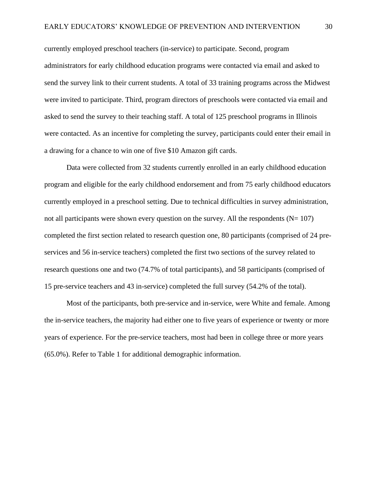currently employed preschool teachers (in-service) to participate. Second, program administrators for early childhood education programs were contacted via email and asked to send the survey link to their current students. A total of 33 training programs across the Midwest were invited to participate. Third, program directors of preschools were contacted via email and asked to send the survey to their teaching staff. A total of 125 preschool programs in Illinois were contacted. As an incentive for completing the survey, participants could enter their email in a drawing for a chance to win one of five \$10 Amazon gift cards.

Data were collected from 32 students currently enrolled in an early childhood education program and eligible for the early childhood endorsement and from 75 early childhood educators currently employed in a preschool setting. Due to technical difficulties in survey administration, not all participants were shown every question on the survey. All the respondents  $(N= 107)$ completed the first section related to research question one, 80 participants (comprised of 24 preservices and 56 in-service teachers) completed the first two sections of the survey related to research questions one and two (74.7% of total participants), and 58 participants (comprised of 15 pre-service teachers and 43 in-service) completed the full survey (54.2% of the total).

Most of the participants, both pre-service and in-service, were White and female. Among the in-service teachers, the majority had either one to five years of experience or twenty or more years of experience. For the pre-service teachers, most had been in college three or more years (65.0%). Refer to Table 1 for additional demographic information.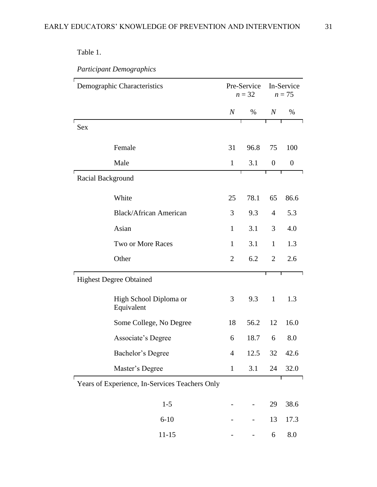## Table 1.

*Participant Demographics*

| Demographic Characteristics    |                                                | Pre-Service<br>$n = 32$ |      | In-Service<br>$n = 75$ |                  |
|--------------------------------|------------------------------------------------|-------------------------|------|------------------------|------------------|
|                                |                                                | $\boldsymbol{N}$        | $\%$ | $\overline{N}$         | %                |
| Sex                            |                                                |                         | Τ    | Τ                      | Τ                |
| Female                         |                                                | 31                      | 96.8 | 75                     | 100              |
| Male                           |                                                | $\mathbf{1}$            | 3.1  | $\boldsymbol{0}$       | $\boldsymbol{0}$ |
| Racial Background              |                                                |                         |      |                        |                  |
| White                          |                                                | 25                      | 78.1 | 65                     | 86.6             |
|                                | <b>Black/African American</b>                  | 3                       | 9.3  | $\overline{4}$         | 5.3              |
| Asian                          |                                                | $\mathbf{1}$            | 3.1  | 3                      | 4.0              |
|                                | Two or More Races                              | $\mathbf{1}$            | 3.1  | $\mathbf{1}$           | 1.3              |
| Other                          |                                                | $\overline{2}$          | 6.2  | $\overline{2}$         | 2.6              |
| <b>Highest Degree Obtained</b> |                                                |                         |      | Г                      |                  |
|                                | High School Diploma or<br>Equivalent           | 3                       | 9.3  | $\mathbf{1}$           | 1.3              |
|                                | Some College, No Degree                        | 18                      | 56.2 | 12                     | 16.0             |
|                                | Associate's Degree                             | 6                       | 18.7 | 6                      | 8.0              |
|                                | Bachelor's Degree                              | $\overline{4}$          | 12.5 | 32                     | 42.6             |
|                                | Master's Degree                                | $\mathbf{1}$            | 3.1  | 24                     | 32.0             |
|                                | Years of Experience, In-Services Teachers Only |                         |      |                        |                  |
|                                | $1 - 5$                                        |                         |      | 29                     | 38.6             |
|                                | $6 - 10$                                       |                         |      | 13                     | 17.3             |
|                                | $11 - 15$                                      |                         |      | 6                      | 8.0              |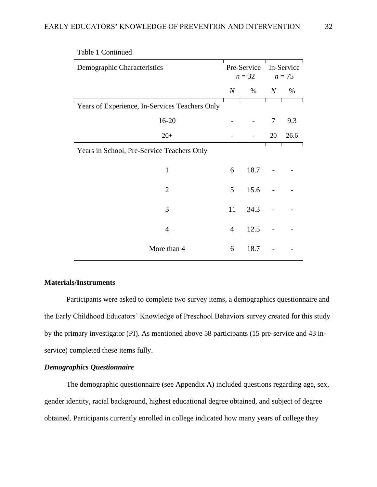| Demographic Characteristics                    | Pre-Service<br>$n=32$ |      | In-Service<br>$n = 75$ |      |
|------------------------------------------------|-----------------------|------|------------------------|------|
|                                                | $\overline{N}$        | $\%$ | $\boldsymbol{N}$       | $\%$ |
| Years of Experience, In-Services Teachers Only |                       |      |                        |      |
| 16-20                                          |                       |      | $\tau$                 | 9.3  |
| $20+$                                          |                       |      | 20                     | 26.6 |
| Years in School, Pre-Service Teachers Only     |                       |      |                        |      |
| $\mathbf{1}$                                   | 6                     | 18.7 |                        |      |
| $\overline{2}$                                 | 5                     | 15.6 |                        |      |
| 3                                              | 11                    | 34.3 |                        |      |
| $\overline{4}$                                 | $\overline{4}$        | 12.5 |                        |      |
| More than 4                                    | 6                     | 18.7 |                        |      |

Table 1 Continued

#### **Materials/Instruments**

Participants were asked to complete two survey items, a demographics questionnaire and the Early Childhood Educators' Knowledge of Preschool Behaviors survey created for this study by the primary investigator (PI). As mentioned above 58 participants (15 pre-service and 43 inservice) completed these items fully.

#### *Demographics Questionnaire*

The demographic questionnaire (see Appendix A) included questions regarding age, sex, gender identity, racial background, highest educational degree obtained, and subject of degree obtained. Participants currently enrolled in college indicated how many years of college they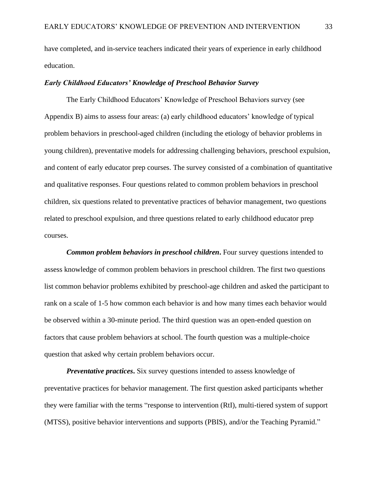have completed, and in-service teachers indicated their years of experience in early childhood education.

#### *Early Childhood Educators' Knowledge of Preschool Behavior Survey*

The Early Childhood Educators' Knowledge of Preschool Behaviors survey (see Appendix B) aims to assess four areas: (a) early childhood educators' knowledge of typical problem behaviors in preschool-aged children (including the etiology of behavior problems in young children), preventative models for addressing challenging behaviors, preschool expulsion, and content of early educator prep courses. The survey consisted of a combination of quantitative and qualitative responses. Four questions related to common problem behaviors in preschool children, six questions related to preventative practices of behavior management, two questions related to preschool expulsion, and three questions related to early childhood educator prep courses.

*Common problem behaviors in preschool children*. Four survey questions intended to assess knowledge of common problem behaviors in preschool children. The first two questions list common behavior problems exhibited by preschool-age children and asked the participant to rank on a scale of 1-5 how common each behavior is and how many times each behavior would be observed within a 30-minute period. The third question was an open-ended question on factors that cause problem behaviors at school. The fourth question was a multiple-choice question that asked why certain problem behaviors occur.

*Preventative practices.* Six survey questions intended to assess knowledge of preventative practices for behavior management. The first question asked participants whether they were familiar with the terms "response to intervention (RtI), multi-tiered system of support (MTSS), positive behavior interventions and supports (PBIS), and/or the Teaching Pyramid."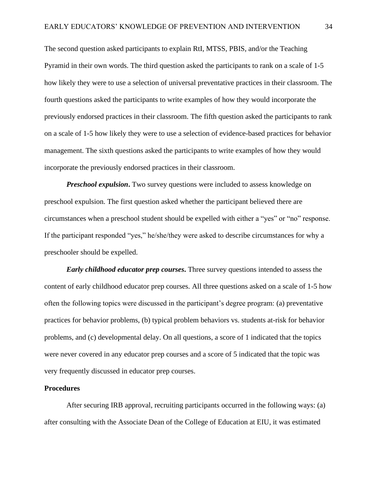The second question asked participants to explain RtI, MTSS, PBIS, and/or the Teaching Pyramid in their own words. The third question asked the participants to rank on a scale of 1-5 how likely they were to use a selection of universal preventative practices in their classroom. The fourth questions asked the participants to write examples of how they would incorporate the previously endorsed practices in their classroom. The fifth question asked the participants to rank on a scale of 1-5 how likely they were to use a selection of evidence-based practices for behavior management. The sixth questions asked the participants to write examples of how they would incorporate the previously endorsed practices in their classroom.

*Preschool expulsion*. Two survey questions were included to assess knowledge on preschool expulsion. The first question asked whether the participant believed there are circumstances when a preschool student should be expelled with either a "yes" or "no" response. If the participant responded "yes," he/she/they were asked to describe circumstances for why a preschooler should be expelled.

*Early childhood educator prep courses***.** Three survey questions intended to assess the content of early childhood educator prep courses. All three questions asked on a scale of 1-5 how often the following topics were discussed in the participant's degree program: (a) preventative practices for behavior problems, (b) typical problem behaviors vs. students at-risk for behavior problems, and (c) developmental delay. On all questions, a score of 1 indicated that the topics were never covered in any educator prep courses and a score of 5 indicated that the topic was very frequently discussed in educator prep courses.

#### **Procedures**

After securing IRB approval, recruiting participants occurred in the following ways: (a) after consulting with the Associate Dean of the College of Education at EIU, it was estimated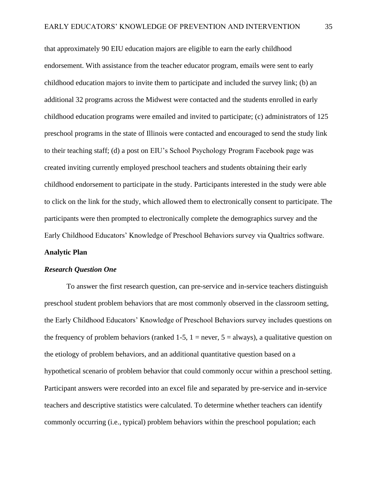that approximately 90 EIU education majors are eligible to earn the early childhood endorsement. With assistance from the teacher educator program, emails were sent to early childhood education majors to invite them to participate and included the survey link; (b) an additional 32 programs across the Midwest were contacted and the students enrolled in early childhood education programs were emailed and invited to participate; (c) administrators of 125 preschool programs in the state of Illinois were contacted and encouraged to send the study link to their teaching staff; (d) a post on EIU's School Psychology Program Facebook page was created inviting currently employed preschool teachers and students obtaining their early childhood endorsement to participate in the study. Participants interested in the study were able to click on the link for the study, which allowed them to electronically consent to participate. The participants were then prompted to electronically complete the demographics survey and the Early Childhood Educators' Knowledge of Preschool Behaviors survey via Qualtrics software.

#### **Analytic Plan**

#### *Research Question One*

To answer the first research question, can pre-service and in-service teachers distinguish preschool student problem behaviors that are most commonly observed in the classroom setting, the Early Childhood Educators' Knowledge of Preschool Behaviors survey includes questions on the frequency of problem behaviors (ranked 1-5,  $1 =$  never,  $5 =$  always), a qualitative question on the etiology of problem behaviors, and an additional quantitative question based on a hypothetical scenario of problem behavior that could commonly occur within a preschool setting. Participant answers were recorded into an excel file and separated by pre-service and in-service teachers and descriptive statistics were calculated. To determine whether teachers can identify commonly occurring (i.e., typical) problem behaviors within the preschool population; each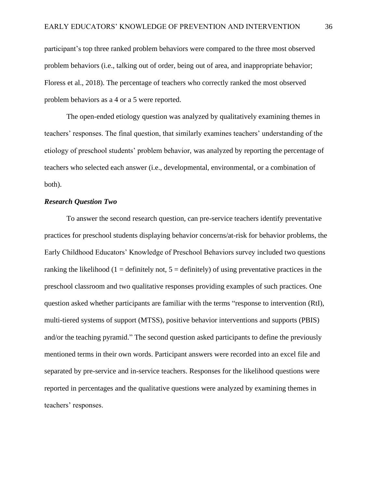participant's top three ranked problem behaviors were compared to the three most observed problem behaviors (i.e., talking out of order, being out of area, and inappropriate behavior; Floress et al., 2018). The percentage of teachers who correctly ranked the most observed problem behaviors as a 4 or a 5 were reported.

The open-ended etiology question was analyzed by qualitatively examining themes in teachers' responses. The final question, that similarly examines teachers' understanding of the etiology of preschool students' problem behavior, was analyzed by reporting the percentage of teachers who selected each answer (i.e., developmental, environmental, or a combination of both).

## *Research Question Two*

To answer the second research question, can pre-service teachers identify preventative practices for preschool students displaying behavior concerns/at-risk for behavior problems, the Early Childhood Educators' Knowledge of Preschool Behaviors survey included two questions ranking the likelihood (1 = definitely not,  $5 =$  definitely) of using preventative practices in the preschool classroom and two qualitative responses providing examples of such practices. One question asked whether participants are familiar with the terms "response to intervention (RtI), multi-tiered systems of support (MTSS), positive behavior interventions and supports (PBIS) and/or the teaching pyramid." The second question asked participants to define the previously mentioned terms in their own words. Participant answers were recorded into an excel file and separated by pre-service and in-service teachers. Responses for the likelihood questions were reported in percentages and the qualitative questions were analyzed by examining themes in teachers' responses.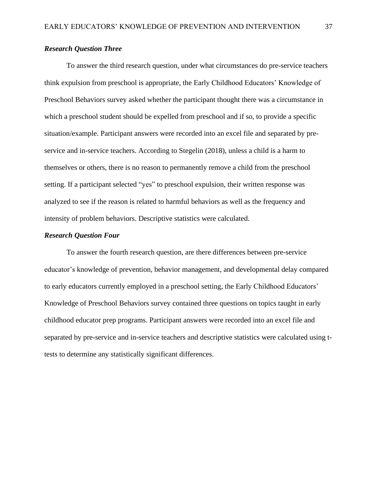# *Research Question Three*

To answer the third research question, under what circumstances do pre-service teachers think expulsion from preschool is appropriate, the Early Childhood Educators' Knowledge of Preschool Behaviors survey asked whether the participant thought there was a circumstance in which a preschool student should be expelled from preschool and if so, to provide a specific situation/example. Participant answers were recorded into an excel file and separated by preservice and in-service teachers. According to Stegelin (2018), unless a child is a harm to themselves or others, there is no reason to permanently remove a child from the preschool setting. If a participant selected "yes" to preschool expulsion, their written response was analyzed to see if the reason is related to harmful behaviors as well as the frequency and intensity of problem behaviors. Descriptive statistics were calculated.

### *Research Question Four*

To answer the fourth research question, are there differences between pre-service educator's knowledge of prevention, behavior management, and developmental delay compared to early educators currently employed in a preschool setting, the Early Childhood Educators' Knowledge of Preschool Behaviors survey contained three questions on topics taught in early childhood educator prep programs. Participant answers were recorded into an excel file and separated by pre-service and in-service teachers and descriptive statistics were calculated using ttests to determine any statistically significant differences.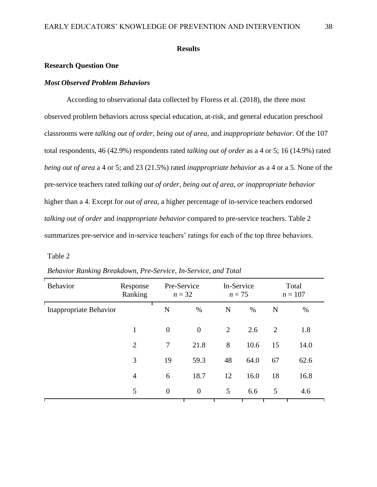## **Results**

# **Research Question One**

# *Most Observed Problem Behaviors*

According to observational data collected by Floress et al. (2018), the three most observed problem behaviors across special education, at-risk, and general education preschool classrooms were *talking out of order*, *being out of area*, and *inappropriate behavior*. Of the 107 total respondents, 46 (42.9%) respondents rated *talking out of order* as a 4 or 5; 16 (14.9%) rated *being out of area* a 4 or 5; and 23 (21.5%) rated *inappropriate behavior* as a 4 or a 5. None of the pre-service teachers rated *talking out of order, being out of area, or inappropriate behavior*  higher than a 4. Except for *out of area*, a higher percentage of in-service teachers endorsed *talking out of order* and *inappropriate behavior* compared to pre-service teachers. Table 2 summarizes pre-service and in-service teachers' ratings for each of the top three behaviors.

#### Table 2

| <b>Behavior</b>        | Response<br>Ranking | Pre-Service<br>$n=32$ |                  | In-Service<br>$n=75$ |      | Total<br>$n = 107$ |      |
|------------------------|---------------------|-----------------------|------------------|----------------------|------|--------------------|------|
| Inappropriate Behavior |                     | N                     | $\%$             | N                    | %    | N                  | $\%$ |
|                        | 1                   | $\mathbf{0}$          | $\theta$         | $\overline{2}$       | 2.6  | 2                  | 1.8  |
|                        | $\overline{2}$      | $\tau$                | 21.8             | 8                    | 10.6 | 15                 | 14.0 |
|                        | 3                   | 19                    | 59.3             | 48                   | 64.0 | 67                 | 62.6 |
|                        | $\overline{4}$      | 6                     | 18.7             | 12                   | 16.0 | 18                 | 16.8 |
|                        | 5                   | $\mathbf{0}$          | $\boldsymbol{0}$ | 5                    | 6.6  | 5                  | 4.6  |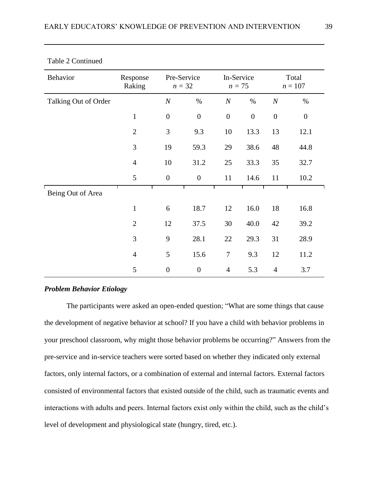| Behavior             | Response<br>Raking | Pre-Service<br>$n = 32$ |                  | In-Service<br>$n = 75$ |                  | Total<br>$n = 107$ |                  |
|----------------------|--------------------|-------------------------|------------------|------------------------|------------------|--------------------|------------------|
| Talking Out of Order |                    | $\boldsymbol{N}$        | $\%$             | $\boldsymbol{N}$       | $\%$             | $\cal N$           | $\%$             |
|                      | $\mathbf{1}$       | $\boldsymbol{0}$        | $\boldsymbol{0}$ | $\boldsymbol{0}$       | $\boldsymbol{0}$ | $\boldsymbol{0}$   | $\boldsymbol{0}$ |
|                      | $\overline{2}$     | 3                       | 9.3              | 10                     | 13.3             | 13                 | 12.1             |
|                      | 3                  | 19                      | 59.3             | 29                     | 38.6             | 48                 | 44.8             |
|                      | $\overline{4}$     | 10                      | 31.2             | 25                     | 33.3             | 35                 | 32.7             |
|                      | 5                  | $\boldsymbol{0}$        | $\boldsymbol{0}$ | 11                     | 14.6             | 11                 | 10.2             |
| Being Out of Area    |                    |                         |                  |                        |                  |                    |                  |
|                      | $\mathbf{1}$       | 6                       | 18.7             | 12                     | 16.0             | 18                 | 16.8             |
|                      | $\overline{2}$     | 12                      | 37.5             | 30                     | 40.0             | 42                 | 39.2             |
|                      | 3                  | 9                       | 28.1             | 22                     | 29.3             | 31                 | 28.9             |
|                      | $\overline{4}$     | 5                       | 15.6             | $\tau$                 | 9.3              | 12                 | 11.2             |
|                      | 5                  | $\boldsymbol{0}$        | $\boldsymbol{0}$ | $\overline{4}$         | 5.3              | $\overline{4}$     | 3.7              |

# Table 2 Continued

# *Problem Behavior Etiology*

The participants were asked an open-ended question; "What are some things that cause the development of negative behavior at school? If you have a child with behavior problems in your preschool classroom, why might those behavior problems be occurring?" Answers from the pre-service and in-service teachers were sorted based on whether they indicated only external factors, only internal factors, or a combination of external and internal factors. External factors consisted of environmental factors that existed outside of the child, such as traumatic events and interactions with adults and peers. Internal factors exist only within the child, such as the child's level of development and physiological state (hungry, tired, etc.).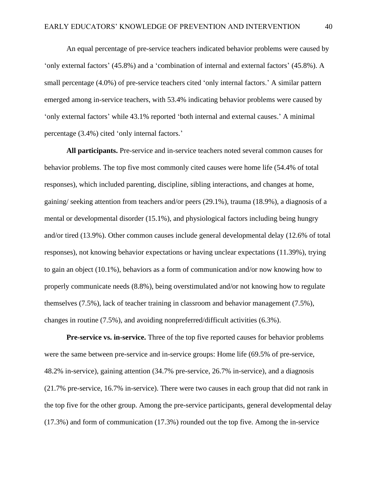An equal percentage of pre-service teachers indicated behavior problems were caused by 'only external factors' (45.8%) and a 'combination of internal and external factors' (45.8%). A small percentage (4.0%) of pre-service teachers cited 'only internal factors.' A similar pattern emerged among in-service teachers, with 53.4% indicating behavior problems were caused by 'only external factors' while 43.1% reported 'both internal and external causes.' A minimal percentage (3.4%) cited 'only internal factors.'

**All participants.** Pre-service and in-service teachers noted several common causes for behavior problems. The top five most commonly cited causes were home life (54.4% of total responses), which included parenting, discipline, sibling interactions, and changes at home, gaining/ seeking attention from teachers and/or peers (29.1%), trauma (18.9%), a diagnosis of a mental or developmental disorder (15.1%), and physiological factors including being hungry and/or tired (13.9%). Other common causes include general developmental delay (12.6% of total responses), not knowing behavior expectations or having unclear expectations (11.39%), trying to gain an object (10.1%), behaviors as a form of communication and/or now knowing how to properly communicate needs (8.8%), being overstimulated and/or not knowing how to regulate themselves (7.5%), lack of teacher training in classroom and behavior management (7.5%), changes in routine (7.5%), and avoiding nonpreferred/difficult activities (6.3%).

**Pre-service vs. in-service.** Three of the top five reported causes for behavior problems were the same between pre-service and in-service groups: Home life (69.5% of pre-service, 48.2% in-service), gaining attention (34.7% pre-service, 26.7% in-service), and a diagnosis (21.7% pre-service, 16.7% in-service). There were two causes in each group that did not rank in the top five for the other group. Among the pre-service participants, general developmental delay (17.3%) and form of communication (17.3%) rounded out the top five. Among the in-service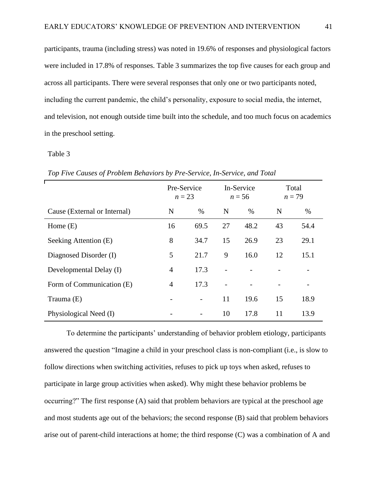participants, trauma (including stress) was noted in 19.6% of responses and physiological factors were included in 17.8% of responses. Table 3 summarizes the top five causes for each group and across all participants. There were several responses that only one or two participants noted, including the current pandemic, the child's personality, exposure to social media, the internet, and television, not enough outside time built into the schedule, and too much focus on academics in the preschool setting.

#### Table 3

|                              | Pre-Service<br>$n = 23$ |      | In-Service<br>$n = 56$ |      | Total<br>$n=79$ |      |
|------------------------------|-------------------------|------|------------------------|------|-----------------|------|
| Cause (External or Internal) | N                       | $\%$ | N                      | $\%$ | N               | $\%$ |
| Home $(E)$                   | 16                      | 69.5 | 27                     | 48.2 | 43              | 54.4 |
| Seeking Attention (E)        | 8                       | 34.7 | 15                     | 26.9 | 23              | 29.1 |
| Diagnosed Disorder (I)       | 5                       | 21.7 | 9                      | 16.0 | 12              | 15.1 |
| Developmental Delay (I)      | 4                       | 17.3 |                        |      |                 |      |
| Form of Communication (E)    | 4                       | 17.3 |                        |      |                 |      |
| Trauma (E)                   |                         |      | 11                     | 19.6 | 15              | 18.9 |
| Physiological Need (I)       |                         |      | 10                     | 17.8 | 11              | 13.9 |

*Top Five Causes of Problem Behaviors by Pre-Service, In-Service, and Total*

To determine the participants' understanding of behavior problem etiology, participants answered the question "Imagine a child in your preschool class is non-compliant (i.e., is slow to follow directions when switching activities, refuses to pick up toys when asked, refuses to participate in large group activities when asked). Why might these behavior problems be occurring?" The first response (A) said that problem behaviors are typical at the preschool age and most students age out of the behaviors; the second response (B) said that problem behaviors arise out of parent-child interactions at home; the third response (C) was a combination of A and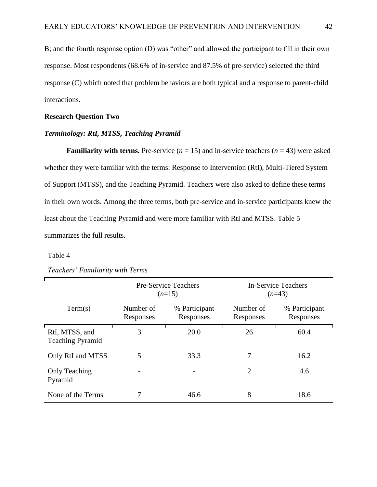B; and the fourth response option (D) was "other" and allowed the participant to fill in their own response. Most respondents (68.6% of in-service and 87.5% of pre-service) selected the third response (C) which noted that problem behaviors are both typical and a response to parent-child interactions.

#### **Research Question Two**

#### *Terminology: RtI, MTSS, Teaching Pyramid*

**Familiarity with terms.** Pre-service  $(n = 15)$  and in-service teachers  $(n = 43)$  were asked whether they were familiar with the terms: Response to Intervention (RtI), Multi-Tiered System of Support (MTSS), and the Teaching Pyramid. Teachers were also asked to define these terms in their own words. Among the three terms, both pre-service and in-service participants knew the least about the Teaching Pyramid and were more familiar with RtI and MTSS. Table 5 summarizes the full results.

## Table 4

|                                           |                        | <b>Pre-Service Teachers</b><br>$(n=15)$ | <b>In-Service Teachers</b><br>$(n=43)$ |                            |  |  |
|-------------------------------------------|------------------------|-----------------------------------------|----------------------------------------|----------------------------|--|--|
| Term(s)                                   | Number of<br>Responses | % Participant<br>Responses              | Number of<br>Responses                 | % Participant<br>Responses |  |  |
| RtI, MTSS, and<br><b>Teaching Pyramid</b> | 3                      | 20.0                                    | 26                                     | 60.4                       |  |  |
| Only RtI and MTSS                         | 5                      | 33.3                                    | 7                                      | 16.2                       |  |  |
| <b>Only Teaching</b><br>Pyramid           |                        |                                         | $\overline{2}$                         | 4.6                        |  |  |
| None of the Terms                         |                        | 46.6                                    | 8                                      | 18.6                       |  |  |

*Teachers' Familiarity with Terms*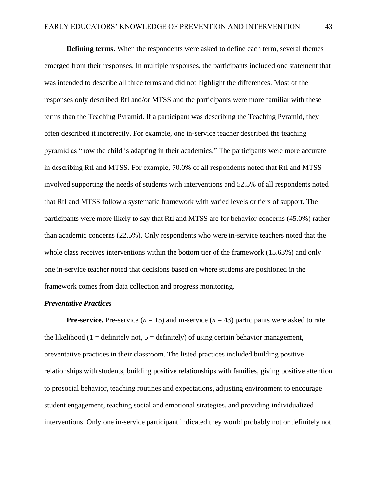**Defining terms.** When the respondents were asked to define each term, several themes emerged from their responses. In multiple responses, the participants included one statement that was intended to describe all three terms and did not highlight the differences. Most of the responses only described RtI and/or MTSS and the participants were more familiar with these terms than the Teaching Pyramid. If a participant was describing the Teaching Pyramid, they often described it incorrectly. For example, one in-service teacher described the teaching pyramid as "how the child is adapting in their academics." The participants were more accurate in describing RtI and MTSS. For example, 70.0% of all respondents noted that RtI and MTSS involved supporting the needs of students with interventions and 52.5% of all respondents noted that RtI and MTSS follow a systematic framework with varied levels or tiers of support. The participants were more likely to say that RtI and MTSS are for behavior concerns (45.0%) rather than academic concerns (22.5%). Only respondents who were in-service teachers noted that the whole class receives interventions within the bottom tier of the framework (15.63%) and only one in-service teacher noted that decisions based on where students are positioned in the framework comes from data collection and progress monitoring.

# *Preventative Practices*

**Pre-service.** Pre-service  $(n = 15)$  and in-service  $(n = 43)$  participants were asked to rate the likelihood (1 = definitely not,  $5 =$  definitely) of using certain behavior management, preventative practices in their classroom. The listed practices included building positive relationships with students, building positive relationships with families, giving positive attention to prosocial behavior, teaching routines and expectations, adjusting environment to encourage student engagement, teaching social and emotional strategies, and providing individualized interventions. Only one in-service participant indicated they would probably not or definitely not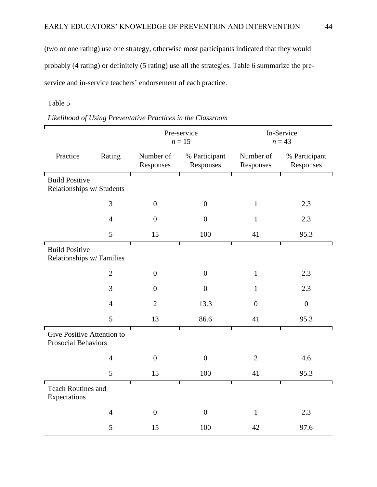(two or one rating) use one strategy, otherwise most participants indicated that they would probably (4 rating) or definitely (5 rating) use all the strategies. Table 6 summarize the preservice and in-service teachers' endorsement of each practice.

# Table 5

|                                                    |                                  | Pre-service<br>$n=15$ |                            | In-Service<br>$n = 43$ |                            |  |
|----------------------------------------------------|----------------------------------|-----------------------|----------------------------|------------------------|----------------------------|--|
| Practice                                           | Number of<br>Rating<br>Responses |                       | % Participant<br>Responses | Number of<br>Responses | % Participant<br>Responses |  |
| <b>Build Positive</b><br>Relationships w/ Students |                                  |                       |                            |                        |                            |  |
|                                                    | 3                                | $\boldsymbol{0}$      | $\overline{0}$             | $\mathbf{1}$           | 2.3                        |  |
|                                                    | $\overline{4}$                   | $\boldsymbol{0}$      | $\boldsymbol{0}$           | $\mathbf{1}$           | 2.3                        |  |
|                                                    | 5                                | 15                    | 100                        | 41                     | 95.3                       |  |
| <b>Build Positive</b><br>Relationships w/ Families |                                  |                       |                            |                        |                            |  |
|                                                    | $\mathbf{2}$                     | $\overline{0}$        | $\overline{0}$             | $\mathbf{1}$           | 2.3                        |  |
|                                                    | 3                                | $\boldsymbol{0}$      | $\boldsymbol{0}$           | $\mathbf{1}$           | 2.3                        |  |
|                                                    | $\overline{4}$                   | $\overline{2}$        | 13.3                       | $\overline{0}$         | $\boldsymbol{0}$           |  |
|                                                    | 5                                | 13                    | 86.6                       | 41                     | 95.3                       |  |
| Give Positive Attention to<br>Prosocial Behaviors  |                                  |                       |                            |                        |                            |  |
|                                                    | $\overline{4}$                   | $\boldsymbol{0}$      | $\boldsymbol{0}$           | $\overline{2}$         | 4.6                        |  |
|                                                    | 5                                | 15                    | 100                        | 41                     | 95.3                       |  |
| Teach Routines and<br>Expectations                 |                                  |                       |                            |                        |                            |  |
|                                                    | $\overline{4}$                   | $\boldsymbol{0}$      | $\overline{0}$             | $\mathbf{1}$           | 2.3                        |  |
|                                                    | 5                                | 15                    | 100                        | 42                     | 97.6                       |  |

*Likelihood of Using Preventative Practices in the Classroom*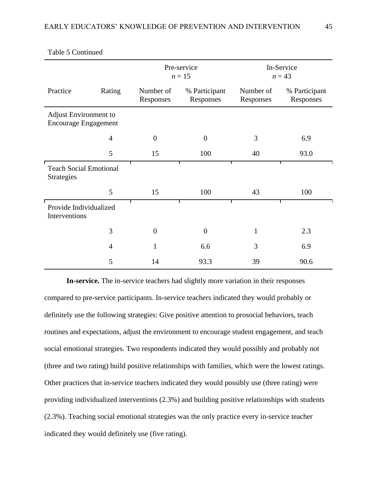|                                                      |                | Pre-service<br>$n = 15$                              |                | In-Service<br>$n = 43$ |                            |  |
|------------------------------------------------------|----------------|------------------------------------------------------|----------------|------------------------|----------------------------|--|
| Practice                                             | Rating         | Number of<br>% Participant<br>Responses<br>Responses |                | Number of<br>Responses | % Participant<br>Responses |  |
| Adjust Environment to<br><b>Encourage Engagement</b> |                |                                                      |                |                        |                            |  |
|                                                      | $\overline{4}$ | $\overline{0}$                                       | $\overline{0}$ | 3                      | 6.9                        |  |
|                                                      | 5              | 15                                                   | 100            | 40                     | 93.0                       |  |
| <b>Teach Social Emotional</b><br><b>Strategies</b>   |                |                                                      |                |                        |                            |  |
|                                                      | 5              | 15                                                   | 100            | 43                     | 100                        |  |
| Provide Individualized<br>Interventions              |                |                                                      |                |                        |                            |  |
|                                                      | 3              | $\overline{0}$                                       | $\overline{0}$ | $\mathbf{1}$           | 2.3                        |  |
|                                                      | $\overline{4}$ | $\mathbf{1}$                                         | 6.6            | 3                      | 6.9                        |  |
|                                                      | 5              | 14                                                   | 93.3           | 39                     | 90.6                       |  |

Table 5 Continued

**In-service.** The in-service teachers had slightly more variation in their responses compared to pre-service participants. In-service teachers indicated they would probably or definitely use the following strategies: Give positive attention to prosocial behaviors, teach routines and expectations, adjust the environment to encourage student engagement, and teach social emotional strategies. Two respondents indicated they would possibly and probably not (three and two rating) build positive relationships with families, which were the lowest ratings. Other practices that in-service teachers indicated they would possibly use (three rating) were providing individualized interventions (2.3%) and building positive relationships with students (2.3%). Teaching social emotional strategies was the only practice every in-service teacher indicated they would definitely use (five rating).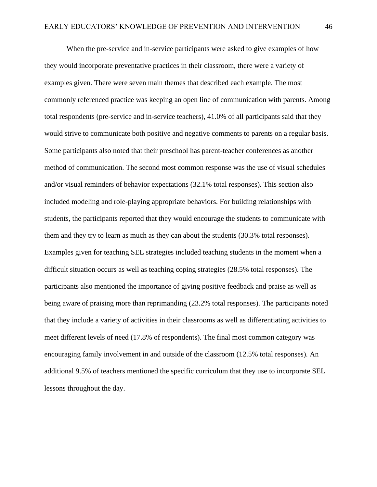When the pre-service and in-service participants were asked to give examples of how they would incorporate preventative practices in their classroom, there were a variety of examples given. There were seven main themes that described each example. The most commonly referenced practice was keeping an open line of communication with parents. Among total respondents (pre-service and in-service teachers), 41.0% of all participants said that they would strive to communicate both positive and negative comments to parents on a regular basis. Some participants also noted that their preschool has parent-teacher conferences as another method of communication. The second most common response was the use of visual schedules and/or visual reminders of behavior expectations (32.1% total responses). This section also included modeling and role-playing appropriate behaviors. For building relationships with students, the participants reported that they would encourage the students to communicate with them and they try to learn as much as they can about the students (30.3% total responses). Examples given for teaching SEL strategies included teaching students in the moment when a difficult situation occurs as well as teaching coping strategies (28.5% total responses). The participants also mentioned the importance of giving positive feedback and praise as well as being aware of praising more than reprimanding (23.2% total responses). The participants noted that they include a variety of activities in their classrooms as well as differentiating activities to meet different levels of need (17.8% of respondents). The final most common category was encouraging family involvement in and outside of the classroom (12.5% total responses). An additional 9.5% of teachers mentioned the specific curriculum that they use to incorporate SEL lessons throughout the day.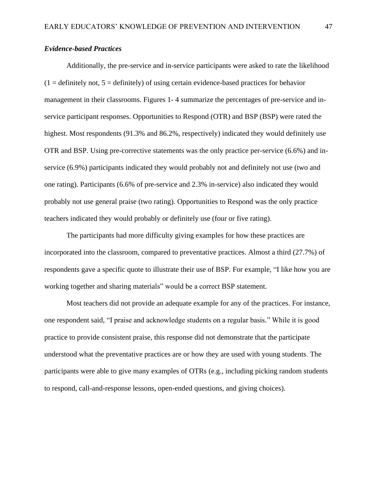## *Evidence-based Practices*

Additionally, the pre-service and in-service participants were asked to rate the likelihood  $(1 =$  definitely not,  $5 =$  definitely) of using certain evidence-based practices for behavior management in their classrooms. Figures 1- 4 summarize the percentages of pre-service and inservice participant responses. Opportunities to Respond (OTR) and BSP (BSP) were rated the highest. Most respondents (91.3% and 86.2%, respectively) indicated they would definitely use OTR and BSP. Using pre-corrective statements was the only practice per-service (6.6%) and inservice (6.9%) participants indicated they would probably not and definitely not use (two and one rating). Participants (6.6% of pre-service and 2.3% in-service) also indicated they would probably not use general praise (two rating). Opportunities to Respond was the only practice teachers indicated they would probably or definitely use (four or five rating).

The participants had more difficulty giving examples for how these practices are incorporated into the classroom, compared to preventative practices. Almost a third (27.7%) of respondents gave a specific quote to illustrate their use of BSP. For example, "I like how you are working together and sharing materials" would be a correct BSP statement.

Most teachers did not provide an adequate example for any of the practices. For instance, one respondent said, "I praise and acknowledge students on a regular basis." While it is good practice to provide consistent praise, this response did not demonstrate that the participate understood what the preventative practices are or how they are used with young students. The participants were able to give many examples of OTRs (e.g., including picking random students to respond, call-and-response lessons, open-ended questions, and giving choices).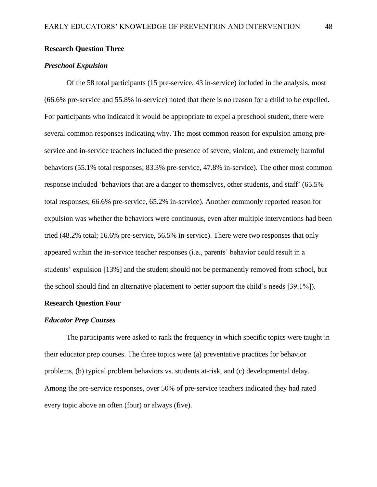### **Research Question Three**

### *Preschool Expulsion*

Of the 58 total participants (15 pre-service, 43 in-service) included in the analysis, most (66.6% pre-service and 55.8% in-service) noted that there is no reason for a child to be expelled. For participants who indicated it would be appropriate to expel a preschool student, there were several common responses indicating why. The most common reason for expulsion among preservice and in-service teachers included the presence of severe, violent, and extremely harmful behaviors (55.1% total responses; 83.3% pre-service, 47.8% in-service). The other most common response included 'behaviors that are a danger to themselves, other students, and staff' (65.5% total responses; 66.6% pre-service, 65.2% in-service). Another commonly reported reason for expulsion was whether the behaviors were continuous, even after multiple interventions had been tried (48.2% total; 16.6% pre-service, 56.5% in-service). There were two responses that only appeared within the in-service teacher responses (i.e., parents' behavior could result in a students' expulsion [13%] and the student should not be permanently removed from school, but the school should find an alternative placement to better support the child's needs [39.1%]).

#### **Research Question Four**

#### *Educator Prep Courses*

The participants were asked to rank the frequency in which specific topics were taught in their educator prep courses. The three topics were (a) preventative practices for behavior problems, (b) typical problem behaviors vs. students at-risk, and (c) developmental delay. Among the pre-service responses, over 50% of pre-service teachers indicated they had rated every topic above an often (four) or always (five).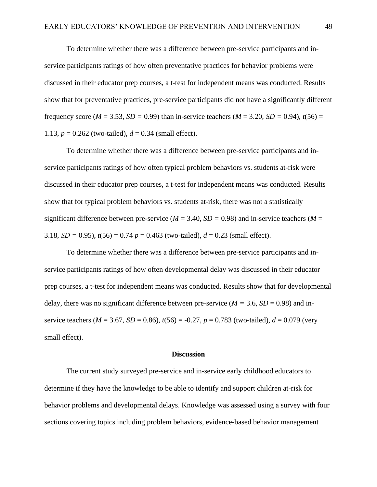To determine whether there was a difference between pre-service participants and inservice participants ratings of how often preventative practices for behavior problems were discussed in their educator prep courses, a t-test for independent means was conducted. Results show that for preventative practices, pre-service participants did not have a significantly different frequency score ( $M = 3.53$ ,  $SD = 0.99$ ) than in-service teachers ( $M = 3.20$ ,  $SD = 0.94$ ),  $t(56) =$ 1.13,  $p = 0.262$  (two-tailed),  $d = 0.34$  (small effect).

To determine whether there was a difference between pre-service participants and inservice participants ratings of how often typical problem behaviors vs. students at-risk were discussed in their educator prep courses, a t-test for independent means was conducted. Results show that for typical problem behaviors vs. students at-risk, there was not a statistically significant difference between pre-service ( $M = 3.40$ ,  $SD = 0.98$ ) and in-service teachers ( $M =$ 3.18, *SD* = 0.95),  $t(56) = 0.74$   $p = 0.463$  (two-tailed),  $d = 0.23$  (small effect).

To determine whether there was a difference between pre-service participants and inservice participants ratings of how often developmental delay was discussed in their educator prep courses, a t-test for independent means was conducted. Results show that for developmental delay, there was no significant difference between pre-service ( $M = 3.6$ ,  $SD = 0.98$ ) and inservice teachers ( $M = 3.67$ ,  $SD = 0.86$ ),  $t(56) = -0.27$ ,  $p = 0.783$  (two-tailed),  $d = 0.079$  (very small effect).

#### **Discussion**

The current study surveyed pre-service and in-service early childhood educators to determine if they have the knowledge to be able to identify and support children at-risk for behavior problems and developmental delays. Knowledge was assessed using a survey with four sections covering topics including problem behaviors, evidence-based behavior management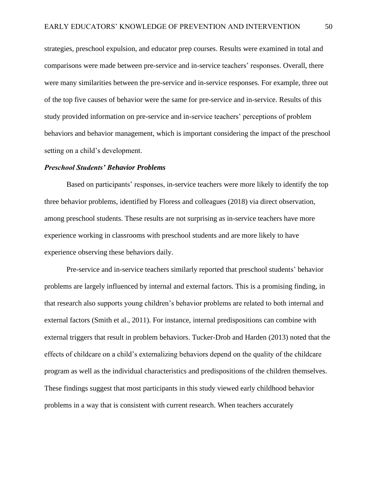strategies, preschool expulsion, and educator prep courses. Results were examined in total and comparisons were made between pre-service and in-service teachers' responses. Overall, there were many similarities between the pre-service and in-service responses. For example, three out of the top five causes of behavior were the same for pre-service and in-service. Results of this study provided information on pre-service and in-service teachers' perceptions of problem behaviors and behavior management, which is important considering the impact of the preschool setting on a child's development.

#### *Preschool Students' Behavior Problems*

Based on participants' responses, in-service teachers were more likely to identify the top three behavior problems, identified by Floress and colleagues (2018) via direct observation, among preschool students. These results are not surprising as in-service teachers have more experience working in classrooms with preschool students and are more likely to have experience observing these behaviors daily.

Pre-service and in-service teachers similarly reported that preschool students' behavior problems are largely influenced by internal and external factors. This is a promising finding, in that research also supports young children's behavior problems are related to both internal and external factors (Smith et al., 2011). For instance, internal predispositions can combine with external triggers that result in problem behaviors. Tucker-Drob and Harden (2013) noted that the effects of childcare on a child's externalizing behaviors depend on the quality of the childcare program as well as the individual characteristics and predispositions of the children themselves. These findings suggest that most participants in this study viewed early childhood behavior problems in a way that is consistent with current research. When teachers accurately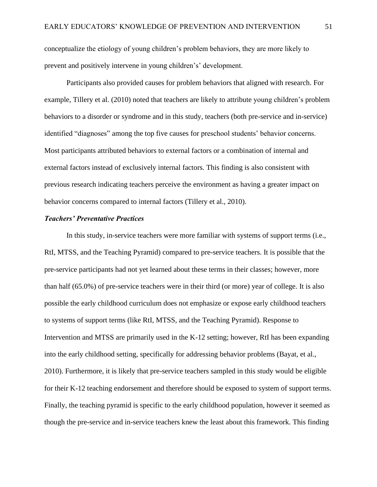conceptualize the etiology of young children's problem behaviors, they are more likely to prevent and positively intervene in young children's' development.

Participants also provided causes for problem behaviors that aligned with research. For example, Tillery et al. (2010) noted that teachers are likely to attribute young children's problem behaviors to a disorder or syndrome and in this study, teachers (both pre-service and in-service) identified "diagnoses" among the top five causes for preschool students' behavior concerns. Most participants attributed behaviors to external factors or a combination of internal and external factors instead of exclusively internal factors. This finding is also consistent with previous research indicating teachers perceive the environment as having a greater impact on behavior concerns compared to internal factors (Tillery et al., 2010).

### *Teachers' Preventative Practices*

In this study, in-service teachers were more familiar with systems of support terms (i.e., RtI, MTSS, and the Teaching Pyramid) compared to pre-service teachers. It is possible that the pre-service participants had not yet learned about these terms in their classes; however, more than half (65.0%) of pre-service teachers were in their third (or more) year of college. It is also possible the early childhood curriculum does not emphasize or expose early childhood teachers to systems of support terms (like RtI, MTSS, and the Teaching Pyramid). Response to Intervention and MTSS are primarily used in the K-12 setting; however, RtI has been expanding into the early childhood setting, specifically for addressing behavior problems (Bayat, et al., 2010). Furthermore, it is likely that pre-service teachers sampled in this study would be eligible for their K-12 teaching endorsement and therefore should be exposed to system of support terms. Finally, the teaching pyramid is specific to the early childhood population, however it seemed as though the pre-service and in-service teachers knew the least about this framework. This finding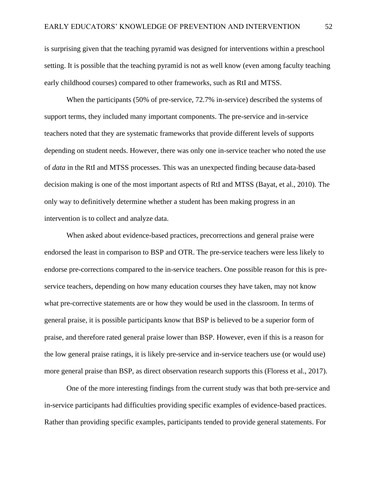is surprising given that the teaching pyramid was designed for interventions within a preschool setting. It is possible that the teaching pyramid is not as well know (even among faculty teaching early childhood courses) compared to other frameworks, such as RtI and MTSS.

When the participants (50% of pre-service, 72.7% in-service) described the systems of support terms, they included many important components. The pre-service and in-service teachers noted that they are systematic frameworks that provide different levels of supports depending on student needs. However, there was only one in-service teacher who noted the use of *data* in the RtI and MTSS processes. This was an unexpected finding because data-based decision making is one of the most important aspects of RtI and MTSS (Bayat, et al., 2010). The only way to definitively determine whether a student has been making progress in an intervention is to collect and analyze data.

When asked about evidence-based practices, precorrections and general praise were endorsed the least in comparison to BSP and OTR. The pre-service teachers were less likely to endorse pre-corrections compared to the in-service teachers. One possible reason for this is preservice teachers, depending on how many education courses they have taken, may not know what pre-corrective statements are or how they would be used in the classroom. In terms of general praise, it is possible participants know that BSP is believed to be a superior form of praise, and therefore rated general praise lower than BSP. However, even if this is a reason for the low general praise ratings, it is likely pre-service and in-service teachers use (or would use) more general praise than BSP, as direct observation research supports this (Floress et al., 2017).

One of the more interesting findings from the current study was that both pre-service and in-service participants had difficulties providing specific examples of evidence-based practices. Rather than providing specific examples, participants tended to provide general statements. For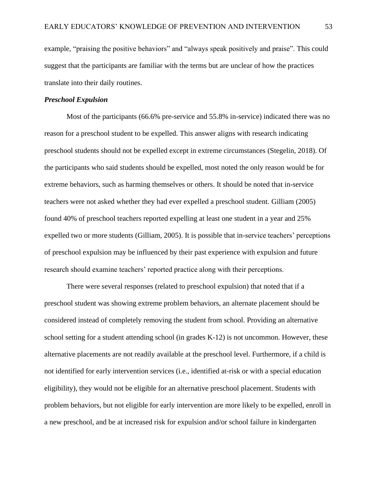example, "praising the positive behaviors" and "always speak positively and praise". This could suggest that the participants are familiar with the terms but are unclear of how the practices translate into their daily routines.

#### *Preschool Expulsion*

Most of the participants (66.6% pre-service and 55.8% in-service) indicated there was no reason for a preschool student to be expelled. This answer aligns with research indicating preschool students should not be expelled except in extreme circumstances (Stegelin, 2018). Of the participants who said students should be expelled, most noted the only reason would be for extreme behaviors, such as harming themselves or others. It should be noted that in-service teachers were not asked whether they had ever expelled a preschool student. Gilliam (2005) found 40% of preschool teachers reported expelling at least one student in a year and 25% expelled two or more students (Gilliam, 2005). It is possible that in-service teachers' perceptions of preschool expulsion may be influenced by their past experience with expulsion and future research should examine teachers' reported practice along with their perceptions.

There were several responses (related to preschool expulsion) that noted that if a preschool student was showing extreme problem behaviors, an alternate placement should be considered instead of completely removing the student from school. Providing an alternative school setting for a student attending school (in grades K-12) is not uncommon. However, these alternative placements are not readily available at the preschool level. Furthermore, if a child is not identified for early intervention services (i.e., identified at-risk or with a special education eligibility), they would not be eligible for an alternative preschool placement. Students with problem behaviors, but not eligible for early intervention are more likely to be expelled, enroll in a new preschool, and be at increased risk for expulsion and/or school failure in kindergarten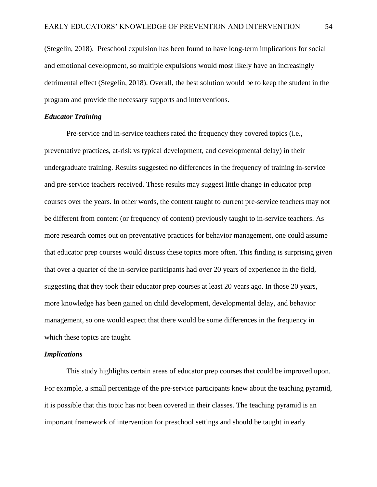(Stegelin, 2018). Preschool expulsion has been found to have long-term implications for social and emotional development, so multiple expulsions would most likely have an increasingly detrimental effect (Stegelin, 2018). Overall, the best solution would be to keep the student in the program and provide the necessary supports and interventions.

## *Educator Training*

Pre-service and in-service teachers rated the frequency they covered topics (i.e., preventative practices, at-risk vs typical development, and developmental delay) in their undergraduate training. Results suggested no differences in the frequency of training in-service and pre-service teachers received. These results may suggest little change in educator prep courses over the years. In other words, the content taught to current pre-service teachers may not be different from content (or frequency of content) previously taught to in-service teachers. As more research comes out on preventative practices for behavior management, one could assume that educator prep courses would discuss these topics more often. This finding is surprising given that over a quarter of the in-service participants had over 20 years of experience in the field, suggesting that they took their educator prep courses at least 20 years ago. In those 20 years, more knowledge has been gained on child development, developmental delay, and behavior management, so one would expect that there would be some differences in the frequency in which these topics are taught.

#### *Implications*

This study highlights certain areas of educator prep courses that could be improved upon. For example, a small percentage of the pre-service participants knew about the teaching pyramid, it is possible that this topic has not been covered in their classes. The teaching pyramid is an important framework of intervention for preschool settings and should be taught in early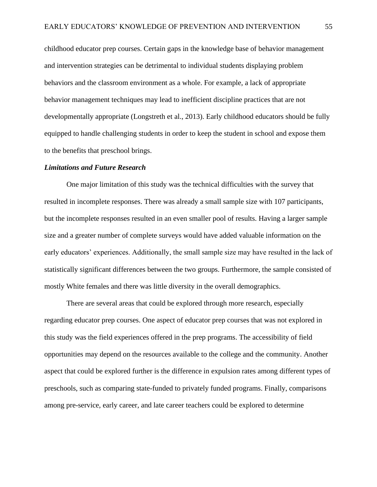childhood educator prep courses. Certain gaps in the knowledge base of behavior management and intervention strategies can be detrimental to individual students displaying problem behaviors and the classroom environment as a whole. For example, a lack of appropriate behavior management techniques may lead to inefficient discipline practices that are not developmentally appropriate (Longstreth et al., 2013). Early childhood educators should be fully equipped to handle challenging students in order to keep the student in school and expose them to the benefits that preschool brings.

#### *Limitations and Future Research*

One major limitation of this study was the technical difficulties with the survey that resulted in incomplete responses. There was already a small sample size with 107 participants, but the incomplete responses resulted in an even smaller pool of results. Having a larger sample size and a greater number of complete surveys would have added valuable information on the early educators' experiences. Additionally, the small sample size may have resulted in the lack of statistically significant differences between the two groups. Furthermore, the sample consisted of mostly White females and there was little diversity in the overall demographics.

There are several areas that could be explored through more research, especially regarding educator prep courses. One aspect of educator prep courses that was not explored in this study was the field experiences offered in the prep programs. The accessibility of field opportunities may depend on the resources available to the college and the community. Another aspect that could be explored further is the difference in expulsion rates among different types of preschools, such as comparing state-funded to privately funded programs. Finally, comparisons among pre-service, early career, and late career teachers could be explored to determine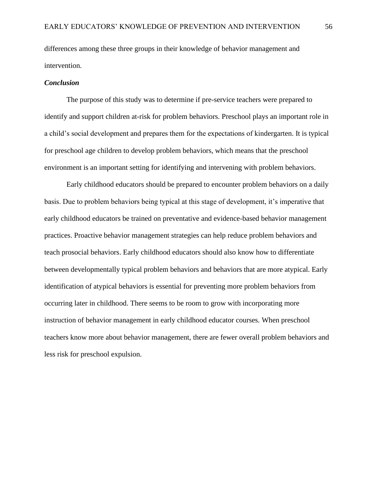differences among these three groups in their knowledge of behavior management and intervention.

#### *Conclusion*

The purpose of this study was to determine if pre-service teachers were prepared to identify and support children at-risk for problem behaviors. Preschool plays an important role in a child's social development and prepares them for the expectations of kindergarten. It is typical for preschool age children to develop problem behaviors, which means that the preschool environment is an important setting for identifying and intervening with problem behaviors.

Early childhood educators should be prepared to encounter problem behaviors on a daily basis. Due to problem behaviors being typical at this stage of development, it's imperative that early childhood educators be trained on preventative and evidence-based behavior management practices. Proactive behavior management strategies can help reduce problem behaviors and teach prosocial behaviors. Early childhood educators should also know how to differentiate between developmentally typical problem behaviors and behaviors that are more atypical. Early identification of atypical behaviors is essential for preventing more problem behaviors from occurring later in childhood. There seems to be room to grow with incorporating more instruction of behavior management in early childhood educator courses. When preschool teachers know more about behavior management, there are fewer overall problem behaviors and less risk for preschool expulsion.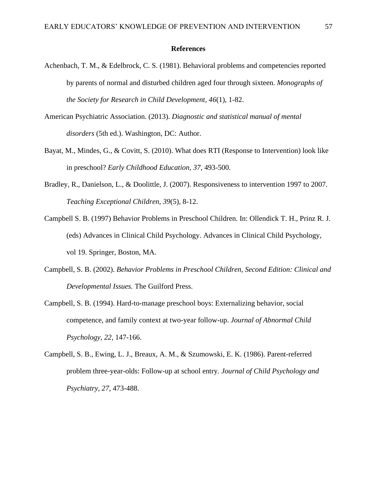#### **References**

- Achenbach, T. M., & Edelbrock, C. S. (1981). Behavioral problems and competencies reported by parents of normal and disturbed children aged four through sixteen. *Monographs of the Society for Research in Child Development, 46*(1), 1-82.
- American Psychiatric Association. (2013). *Diagnostic and statistical manual of mental disorders* (5th ed.). Washington, DC: Author.
- Bayat, M., Mindes, G., & Covitt, S. (2010). What does RTI (Response to Intervention) look like in preschool? *Early Childhood Education, 37,* 493-500.
- Bradley, R., Danielson, L., & Doolittle, J. (2007). Responsiveness to intervention 1997 to 2007. *Teaching Exceptional Children, 39*(5), 8-12.
- Campbell S. B. (1997) Behavior Problems in Preschool Children. In: Ollendick T. H., Prinz R. J. (eds) Advances in Clinical Child Psychology. Advances in Clinical Child Psychology, vol 19. Springer, Boston, MA.
- Campbell, S. B. (2002). *Behavior Problems in Preschool Children, Second Edition: Clinical and Developmental Issues.* The Guilford Press.
- Campbell, S. B. (1994). Hard-to-manage preschool boys: Externalizing behavior, social competence, and family context at two-year follow-up. *Journal of Abnormal Child Psychology, 22,* 147-166.
- Campbell, S. B., Ewing, L. J., Breaux, A. M., & Szumowski, E. K. (1986). Parent-referred problem three-year-olds: Follow-up at school entry. *Journal of Child Psychology and Psychiatry, 27,* 473-488.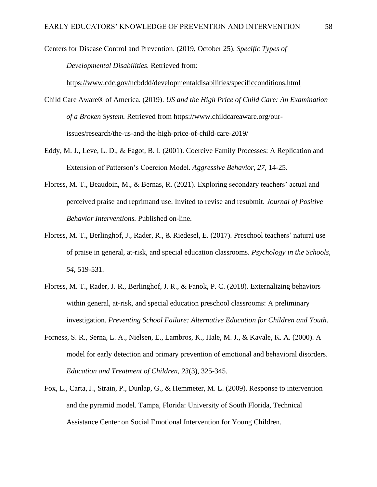Centers for Disease Control and Prevention. (2019, October 25). *Specific Types of* 

*Developmental Disabilities.* Retrieved from:

<https://www.cdc.gov/ncbddd/developmentaldisabilities/specificconditions.html>

Child Care Aware® of America. (2019). *US and the High Price of Child Care: An Examination of a Broken System.* Retrieved from [https://www.childcareaware.org/our](https://www.childcareaware.org/our-issues/research/the-us-and-the-high-price-of-child-care-2019/)[issues/research/the-us-and-the-high-price-of-child-care-2019/](https://www.childcareaware.org/our-issues/research/the-us-and-the-high-price-of-child-care-2019/)

- Eddy, M. J., Leve, L. D., & Fagot, B. I. (2001). Coercive Family Processes: A Replication and Extension of Patterson's Coercion Model. *Aggressive Behavior, 27,* 14-25.
- Floress, M. T., Beaudoin, M., & Bernas, R. (2021). Exploring secondary teachers' actual and perceived praise and reprimand use. Invited to revise and resubmit. *Journal of Positive Behavior Interventions.* Published on-line.
- Floress, M. T., Berlinghof, J., Rader, R., & Riedesel, E. (2017). Preschool teachers' natural use of praise in general, at-risk, and special education classrooms. *Psychology in the Schools, 54,* 519-531.
- Floress, M. T., Rader, J. R., Berlinghof, J. R., & Fanok, P. C. (2018). Externalizing behaviors within general, at-risk, and special education preschool classrooms: A preliminary investigation. *Preventing School Failure: Alternative Education for Children and Youth.*
- Forness, S. R., Serna, L. A., Nielsen, E., Lambros, K., Hale, M. J., & Kavale, K. A. (2000). A model for early detection and primary prevention of emotional and behavioral disorders. *Education and Treatment of Children, 23*(3), 325-345.
- Fox, L., Carta, J., Strain, P., Dunlap, G., & Hemmeter, M. L. (2009). Response to intervention and the pyramid model. Tampa, Florida: University of South Florida, Technical Assistance Center on Social Emotional Intervention for Young Children.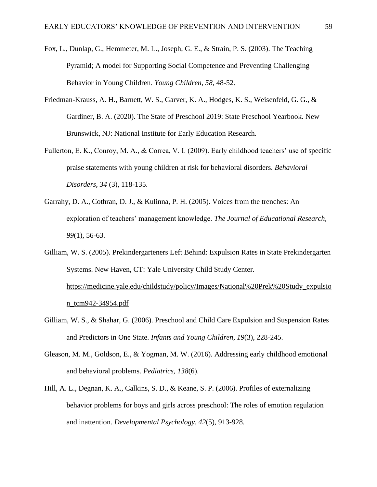- Fox, L., Dunlap, G., Hemmeter, M. L., Joseph, G. E., & Strain, P. S. (2003). The Teaching Pyramid; A model for Supporting Social Competence and Preventing Challenging Behavior in Young Children. *Young Children, 58,* 48-52.
- Friedman-Krauss, A. H., Barnett, W. S., Garver, K. A., Hodges, K. S., Weisenfeld, G. G., & Gardiner, B. A. (2020). The State of Preschool 2019: State Preschool Yearbook. New Brunswick, NJ: National Institute for Early Education Research.
- Fullerton, E. K., Conroy, M. A., & Correa, V. I. (2009). Early childhood teachers' use of specific praise statements with young children at risk for behavioral disorders. *Behavioral Disorders, 34* (3), 118-135.
- Garrahy, D. A., Cothran, D. J., & Kulinna, P. H. (2005). Voices from the trenches: An exploration of teachers' management knowledge. *The Journal of Educational Research, 99*(1), 56-63.
- Gilliam, W. S. (2005). Prekindergarteners Left Behind: Expulsion Rates in State Prekindergarten Systems. New Haven, CT: Yale University Child Study Center. [https://medicine.yale.edu/childstudy/policy/Images/National%20Prek%20Study\\_expulsio](https://medicine.yale.edu/childstudy/policy/Images/National%20Prek%20Study_expulsion_tcm942-34954.pdf) [n\\_tcm942-34954.pdf](https://medicine.yale.edu/childstudy/policy/Images/National%20Prek%20Study_expulsion_tcm942-34954.pdf)
- Gilliam, W. S., & Shahar, G. (2006). Preschool and Child Care Expulsion and Suspension Rates and Predictors in One State. *Infants and Young Children, 19*(3), 228-245.
- Gleason, M. M., Goldson, E., & Yogman, M. W. (2016). Addressing early childhood emotional and behavioral problems. *Pediatrics, 138*(6).
- Hill, A. L., Degnan, K. A., Calkins, S. D., & Keane, S. P. (2006). Profiles of externalizing behavior problems for boys and girls across preschool: The roles of emotion regulation and inattention. *Developmental Psychology, 42*(5), 913-928.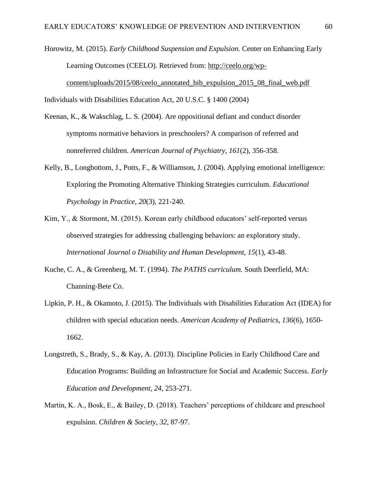Horowitz, M. (2015). *Early Childhood Suspension and Expulsion.* Center on Enhancing Early Learning Outcomes (CEELO). Retrieved from: [http://ceelo.org/wp](http://ceelo.org/wp-content/uploads/2015/08/ceelo_annotated_bib_expulsion_2015_08_final_web.pdf)[content/uploads/2015/08/ceelo\\_annotated\\_bib\\_expulsion\\_2015\\_08\\_final\\_web.pdf](http://ceelo.org/wp-content/uploads/2015/08/ceelo_annotated_bib_expulsion_2015_08_final_web.pdf)

Individuals with Disabilities Education Act, 20 U.S.C. § 1400 (2004)

- Keenan, K., & Wakschlag, L. S. (2004). Are oppositional defiant and conduct disorder symptoms normative behaviors in preschoolers? A comparison of referred and nonreferred children. *American Journal of Psychiatry, 161*(2), 356-358.
- Kelly, B., Longbottom, J., Potts, F., & Williamson, J. (2004). Applying emotional intelligence: Exploring the Promoting Alternative Thinking Strategies curriculum. *Educational Psychology in Practice, 20*(3), 221-240.
- Kim, Y., & Stormont, M. (2015). Korean early childhood educators' self-reported versus observed strategies for addressing challenging behaviors: an exploratory study. *International Journal o Disability and Human Development, 15*(1), 43-48.
- Kuche, C. A., & Greenberg, M. T. (1994). *The PATHS curriculum.* South Deerfield, MA: Channing-Bete Co.
- Lipkin, P. H., & Okamoto, J. (2015). The Individuals with Disabilities Education Act (IDEA) for children with special education needs. *American Academy of Pediatrics, 136*(6), 1650- 1662.
- Longstreth, S., Brady, S., & Kay, A. (2013). Discipline Policies in Early Childhood Care and Education Programs: Building an Infrastructure for Social and Academic Success. *Early Education and Development, 24,* 253-271.
- Martin, K. A., Bosk, E., & Bailey, D. (2018). Teachers' perceptions of childcare and preschool expulsion. *Children & Society, 32*, 87-97.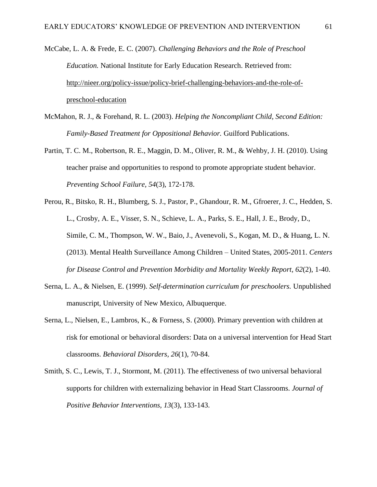- McCabe, L. A. & Frede, E. C. (2007). *Challenging Behaviors and the Role of Preschool Education.* National Institute for Early Education Research. Retrieved from: [http://nieer.org/policy-issue/policy-brief-challenging-behaviors-and-the-role-of](http://nieer.org/policy-issue/policy-brief-challenging-behaviors-and-the-role-of-preschool-education)[preschool-education](http://nieer.org/policy-issue/policy-brief-challenging-behaviors-and-the-role-of-preschool-education)
- McMahon, R. J., & Forehand, R. L. (2003). *Helping the Noncompliant Child, Second Edition: Family-Based Treatment for Oppositional Behavior.* Guilford Publications.
- Partin, T. C. M., Robertson, R. E., Maggin, D. M., Oliver, R. M., & Wehby, J. H. (2010). Using teacher praise and opportunities to respond to promote appropriate student behavior. *Preventing School Failure, 54*(3), 172-178.
- Perou, R., Bitsko, R. H., Blumberg, S. J., Pastor, P., Ghandour, R. M., Gfroerer, J. C., Hedden, S. L., Crosby, A. E., Visser, S. N., Schieve, L. A., Parks, S. E., Hall, J. E., Brody, D., Simile, C. M., Thompson, W. W., Baio, J., Avenevoli, S., Kogan, M. D., & Huang, L. N. (2013). Mental Health Surveillance Among Children – United States, 2005-2011. *Centers for Disease Control and Prevention Morbidity and Mortality Weekly Report, 62*(2), 1-40.
- Serna, L. A., & Nielsen, E. (1999). *Self-determination curriculum for preschoolers.* Unpublished manuscript, University of New Mexico, Albuquerque.
- Serna, L., Nielsen, E., Lambros, K., & Forness, S. (2000). Primary prevention with children at risk for emotional or behavioral disorders: Data on a universal intervention for Head Start classrooms. *Behavioral Disorders, 26*(1), 70-84.
- Smith, S. C., Lewis, T. J., Stormont, M. (2011). The effectiveness of two universal behavioral supports for children with externalizing behavior in Head Start Classrooms. *Journal of Positive Behavior Interventions, 13*(3), 133-143.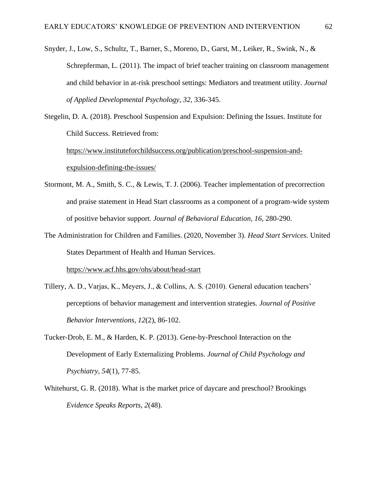- Snyder, J., Low, S., Schultz, T., Barner, S., Moreno, D., Garst, M., Leiker, R., Swink, N., & Schrepferman, L. (2011). The impact of brief teacher training on classroom management and child behavior in at-risk preschool settings: Mediators and treatment utility. *Journal of Applied Developmental Psychology, 32,* 336-345.
- Stegelin, D. A. (2018). Preschool Suspension and Expulsion: Defining the Issues. Institute for Child Success. Retrieved from:

[https://www.instituteforchildsuccess.org/publication/preschool-suspension-and](https://www.instituteforchildsuccess.org/publication/preschool-suspension-and-expulsion-defining-the-issues/)[expulsion-defining-the-issues/](https://www.instituteforchildsuccess.org/publication/preschool-suspension-and-expulsion-defining-the-issues/)

- Stormont, M. A., Smith, S. C., & Lewis, T. J. (2006). Teacher implementation of precorrection and praise statement in Head Start classrooms as a component of a program-wide system of positive behavior support. *Journal of Behavioral Education, 16,* 280-290.
- The Administration for Children and Families. (2020, November 3). *Head Start Services.* United States Department of Health and Human Services.

<https://www.acf.hhs.gov/ohs/about/head-start>

- Tillery, A. D., Varjas, K., Meyers, J., & Collins, A. S. (2010). General education teachers' perceptions of behavior management and intervention strategies*. Journal of Positive Behavior Interventions, 12*(2), 86-102.
- Tucker-Drob, E. M., & Harden, K. P. (2013). Gene-by-Preschool Interaction on the Development of Early Externalizing Problems. *Journal of Child Psychology and Psychiatry, 54*(1), 77-85.
- Whitehurst, G. R. (2018). What is the market price of daycare and preschool? Brookings *Evidence Speaks Reports, 2*(48).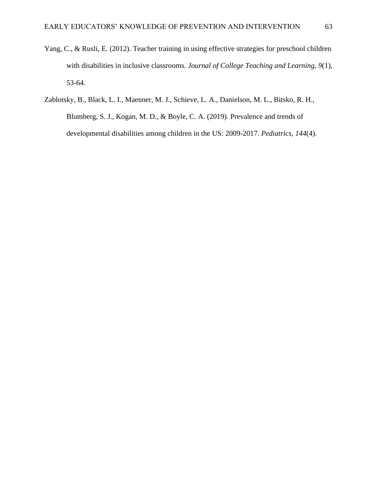- Yang, C., & Rusli, E. (2012). Teacher training in using effective strategies for preschool children with disabilities in inclusive classrooms. *Journal of College Teaching and Learning, 9*(1), 53-64.
- Zablotsky, B., Black, L. I., Maenner, M. J., Schieve, L. A., Danielson, M. L., Bitsko, R. H., Blumberg, S. J., Kogan, M. D., & Boyle, C. A. (2019). Prevalence and trends of developmental disabilities among children in the US: 2009-2017. *Pediatrics, 144*(4).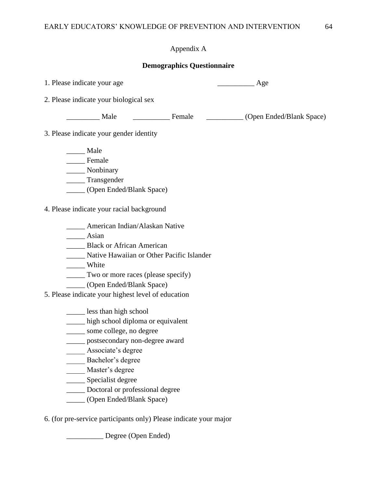# Appendix A

# **Demographics Questionnaire**

| 1. Please indicate your age                                       |
|-------------------------------------------------------------------|
| 2. Please indicate your biological sex                            |
| Male Female<br>(Open Ended/Blank Space)                           |
| 3. Please indicate your gender identity                           |
| ____ Male                                                         |
| Female                                                            |
| Nonbinary                                                         |
| _______ Transgender                                               |
| (Open Ended/Blank Space)                                          |
| 4. Please indicate your racial background                         |
| ____ American Indian/Alaskan Native                               |
| $\overline{\phantom{a}}$ Asian                                    |
| <b>Black or African American</b>                                  |
| Native Hawaiian or Other Pacific Islander                         |
| White                                                             |
| <u>Two</u> or more races (please specify)                         |
| (Open Ended/Blank Space)                                          |
| 5. Please indicate your highest level of education                |
| less than high school                                             |
| ____ high school diploma or equivalent                            |
| some college, no degree                                           |
| ______ postsecondary non-degree award                             |
| Associate's degree                                                |
| Bachelor's degree                                                 |
| Master's degree                                                   |
| __ Specialist degree                                              |
| Doctoral or professional degree                                   |
| (Open Ended/Blank Space)                                          |
| 6. (for pre-service participants only) Please indicate your major |

\_\_\_\_\_\_\_\_\_\_ Degree (Open Ended)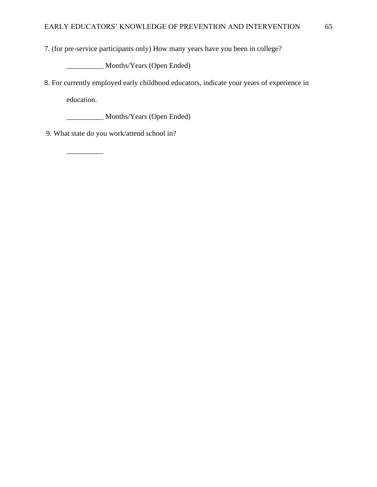7. (for pre-service participants only) How many years have you been in college?

\_\_\_\_\_\_\_\_\_\_ Months/Years (Open Ended)

8. For currently employed early childhood educators, indicate your years of experience in education.

\_\_\_\_\_\_\_\_\_\_ Months/Years (Open Ended)

9. What state do you work/attend school in?

\_\_\_\_\_\_\_\_\_\_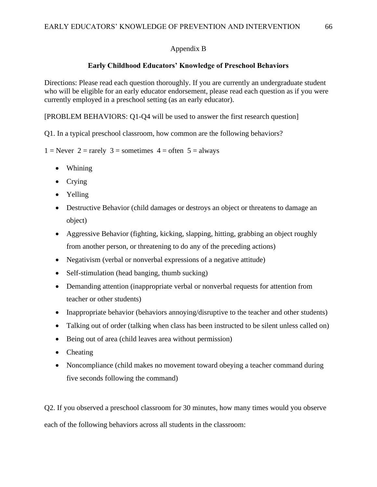# Appendix B

# **Early Childhood Educators' Knowledge of Preschool Behaviors**

Directions: Please read each question thoroughly. If you are currently an undergraduate student who will be eligible for an early educator endorsement, please read each question as if you were currently employed in a preschool setting (as an early educator).

[PROBLEM BEHAVIORS: Q1-Q4 will be used to answer the first research question]

Q1. In a typical preschool classroom, how common are the following behaviors?

 $1 =$  Never  $2 =$  rarely  $3 =$  sometimes  $4 =$  often  $5 =$  always

- Whining
- Crying
- Yelling
- Destructive Behavior (child damages or destroys an object or threatens to damage an object)
- Aggressive Behavior (fighting, kicking, slapping, hitting, grabbing an object roughly from another person, or threatening to do any of the preceding actions)
- Negativism (verbal or nonverbal expressions of a negative attitude)
- Self-stimulation (head banging, thumb sucking)
- Demanding attention (inappropriate verbal or nonverbal requests for attention from teacher or other students)
- Inappropriate behavior (behaviors annoying/disruptive to the teacher and other students)
- Talking out of order (talking when class has been instructed to be silent unless called on)
- Being out of area (child leaves area without permission)
- Cheating
- Noncompliance (child makes no movement toward obeying a teacher command during five seconds following the command)

Q2. If you observed a preschool classroom for 30 minutes, how many times would you observe each of the following behaviors across all students in the classroom: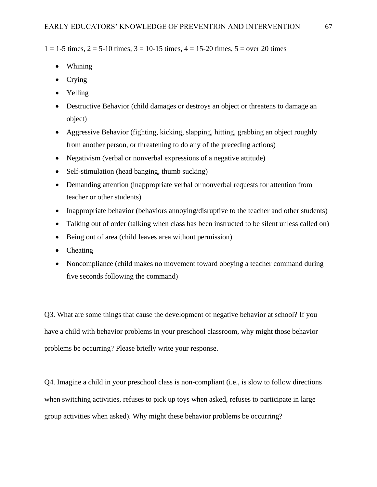$1 = 1-5$  times,  $2 = 5-10$  times,  $3 = 10-15$  times,  $4 = 15-20$  times,  $5 =$  over 20 times

- Whining
- Crying
- Yelling
- Destructive Behavior (child damages or destroys an object or threatens to damage an object)
- Aggressive Behavior (fighting, kicking, slapping, hitting, grabbing an object roughly from another person, or threatening to do any of the preceding actions)
- Negativism (verbal or nonverbal expressions of a negative attitude)
- Self-stimulation (head banging, thumb sucking)
- Demanding attention (inappropriate verbal or nonverbal requests for attention from teacher or other students)
- Inappropriate behavior (behaviors annoying/disruptive to the teacher and other students)
- Talking out of order (talking when class has been instructed to be silent unless called on)
- Being out of area (child leaves area without permission)
- Cheating
- Noncompliance (child makes no movement toward obeying a teacher command during five seconds following the command)

Q3. What are some things that cause the development of negative behavior at school? If you have a child with behavior problems in your preschool classroom, why might those behavior problems be occurring? Please briefly write your response.

Q4. Imagine a child in your preschool class is non-compliant (i.e., is slow to follow directions when switching activities, refuses to pick up toys when asked, refuses to participate in large group activities when asked). Why might these behavior problems be occurring?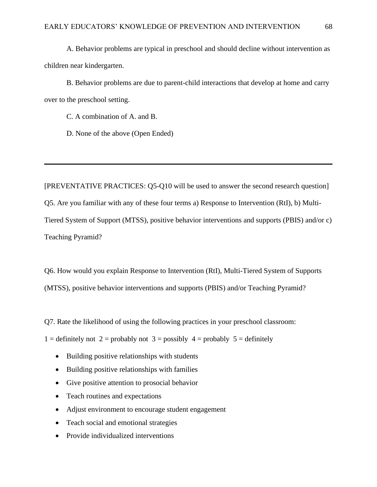A. Behavior problems are typical in preschool and should decline without intervention as children near kindergarten.

B. Behavior problems are due to parent-child interactions that develop at home and carry over to the preschool setting.

C. A combination of A. and B.

D. None of the above (Open Ended)

[PREVENTATIVE PRACTICES: Q5-Q10 will be used to answer the second research question] Q5. Are you familiar with any of these four terms a) Response to Intervention (RtI), b) Multi-Tiered System of Support (MTSS), positive behavior interventions and supports (PBIS) and/or c) Teaching Pyramid?

Q6. How would you explain Response to Intervention (RtI), Multi-Tiered System of Supports (MTSS), positive behavior interventions and supports (PBIS) and/or Teaching Pyramid?

Q7. Rate the likelihood of using the following practices in your preschool classroom:

1 = definitely not 2 = probably not 3 = possibly  $4$  = probably 5 = definitely

- Building positive relationships with students
- Building positive relationships with families
- Give positive attention to prosocial behavior
- Teach routines and expectations
- Adjust environment to encourage student engagement
- Teach social and emotional strategies
- Provide individualized interventions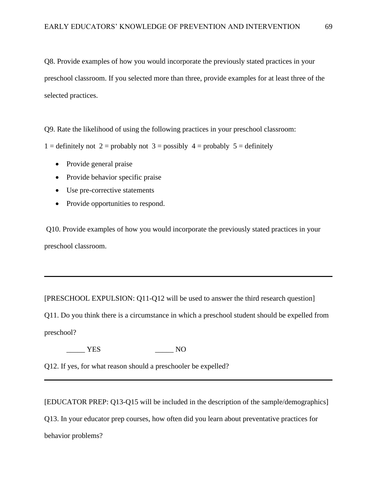Q8. Provide examples of how you would incorporate the previously stated practices in your preschool classroom. If you selected more than three, provide examples for at least three of the selected practices.

Q9. Rate the likelihood of using the following practices in your preschool classroom:

1 = definitely not 2 = probably not 3 = possibly  $4$  = probably 5 = definitely

- Provide general praise
- Provide behavior specific praise
- Use pre-corrective statements
- Provide opportunities to respond.

Q10. Provide examples of how you would incorporate the previously stated practices in your preschool classroom.

[PRESCHOOL EXPULSION: Q11-Q12 will be used to answer the third research question]

Q11. Do you think there is a circumstance in which a preschool student should be expelled from preschool?

YES NO

Q12. If yes, for what reason should a preschooler be expelled?

[EDUCATOR PREP: Q13-Q15 will be included in the description of the sample/demographics] Q13. In your educator prep courses, how often did you learn about preventative practices for behavior problems?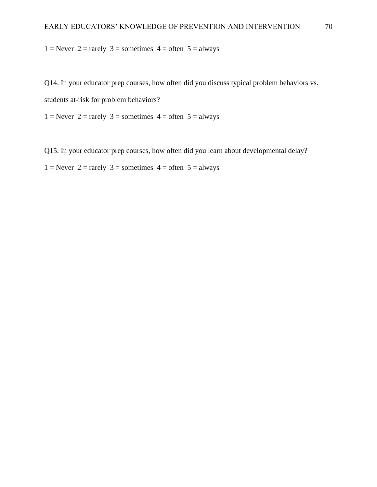$1 =$  Never  $2 =$  rarely  $3 =$  sometimes  $4 =$  often  $5 =$  always

Q14. In your educator prep courses, how often did you discuss typical problem behaviors vs. students at-risk for problem behaviors?

1 = Never 2 = rarely 3 = sometimes  $4 =$  often 5 = always

Q15. In your educator prep courses, how often did you learn about developmental delay?

1 = Never 2 = rarely 3 = sometimes  $4 =$  often 5 = always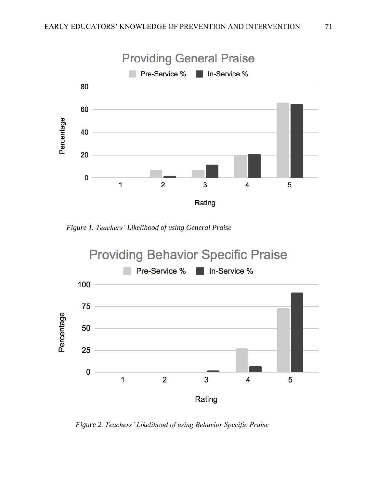

*Figure 1. Teachers' Likelihood of using General Praise*



 *Figure 2. Teachers' Likelihood of using Behavior Specific Praise*